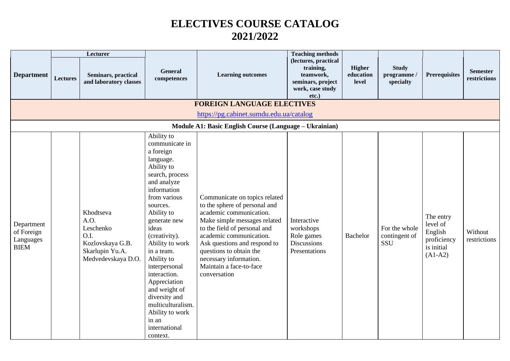## **ELECTIVES COURSE CATALOG 2021/2022**

|                                                      |                 | Lecturer                                                                                            |                                                                                                                                                                                                                                                                                                                                                                                                                           |                                                                                                                                                                                                                                                                                                                      | <b>Teaching methods</b>                                                                             |                                     |                                          |                                                                            |                                 |
|------------------------------------------------------|-----------------|-----------------------------------------------------------------------------------------------------|---------------------------------------------------------------------------------------------------------------------------------------------------------------------------------------------------------------------------------------------------------------------------------------------------------------------------------------------------------------------------------------------------------------------------|----------------------------------------------------------------------------------------------------------------------------------------------------------------------------------------------------------------------------------------------------------------------------------------------------------------------|-----------------------------------------------------------------------------------------------------|-------------------------------------|------------------------------------------|----------------------------------------------------------------------------|---------------------------------|
| <b>Department</b>                                    | <b>Lectures</b> | <b>Seminars, practical</b><br>and laboratory classes                                                | General<br>competences                                                                                                                                                                                                                                                                                                                                                                                                    | <b>Learning outcomes</b>                                                                                                                                                                                                                                                                                             | (lectures, practical<br>training,<br>teamwork,<br>seminars, project<br>work, case study<br>$etc.$ ) | <b>Higher</b><br>education<br>level | <b>Study</b><br>programme /<br>specialty | <b>Prerequisites</b>                                                       | <b>Semester</b><br>restrictions |
|                                                      |                 |                                                                                                     |                                                                                                                                                                                                                                                                                                                                                                                                                           | <b>FOREIGN LANGUAGE ELECTIVES</b>                                                                                                                                                                                                                                                                                    |                                                                                                     |                                     |                                          |                                                                            |                                 |
|                                                      |                 |                                                                                                     |                                                                                                                                                                                                                                                                                                                                                                                                                           | https://pg.cabinet.sumdu.edu.ua/catalog                                                                                                                                                                                                                                                                              |                                                                                                     |                                     |                                          |                                                                            |                                 |
|                                                      |                 |                                                                                                     |                                                                                                                                                                                                                                                                                                                                                                                                                           | Module A1: Basic English Course (Language - Ukrainian)                                                                                                                                                                                                                                                               |                                                                                                     |                                     |                                          |                                                                            |                                 |
| Department<br>of Foreign<br>Languages<br><b>BIEM</b> |                 | Khodtseva<br>A.O.<br>Leschenko<br>O.I.<br>Kozlovskaya G.B.<br>Skarlupin Yu.A.<br>Medvedevskaya D.O. | Ability to<br>communicate in<br>a foreign<br>language.<br>Ability to<br>search, process<br>and analyze<br>information<br>from various<br>sources.<br>Ability to<br>generate new<br>ideas<br>(creativity).<br>Ability to work<br>in a team.<br>Ability to<br>interpersonal<br>interaction.<br>Appreciation<br>and weight of<br>diversity and<br>multiculturalism.<br>Ability to work<br>in an<br>international<br>context. | Communicate on topics related<br>to the sphere of personal and<br>academic communication.<br>Make simple messages related<br>to the field of personal and<br>academic communication.<br>Ask questions and respond to<br>questions to obtain the<br>necessary information.<br>Maintain a face-to-face<br>conversation | Interactive<br>workshops<br>Role games<br>Discussions<br>Presentations                              | Bachelor                            | For the whole<br>contingent of<br>SSU    | The entry<br>level of<br>English<br>proficiency<br>is initial<br>$(A1-A2)$ | Without<br>restrictions         |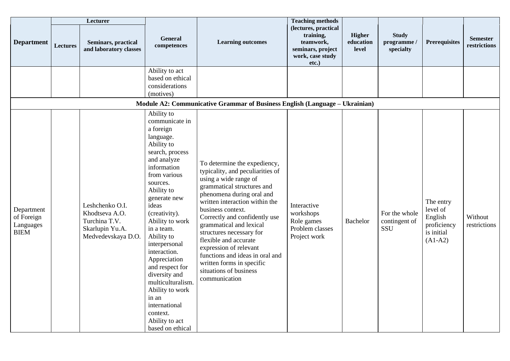|                                                      |                 | Lecturer                                                                                    |                                                                                                                                                                                                                                                                                                                                                                                                                                                                   |                                                                                                                                                                                                                                                                                                                                                                                                                                                                   | <b>Teaching methods</b>                                                                             |                                     |                                        |                                                                            |                                 |
|------------------------------------------------------|-----------------|---------------------------------------------------------------------------------------------|-------------------------------------------------------------------------------------------------------------------------------------------------------------------------------------------------------------------------------------------------------------------------------------------------------------------------------------------------------------------------------------------------------------------------------------------------------------------|-------------------------------------------------------------------------------------------------------------------------------------------------------------------------------------------------------------------------------------------------------------------------------------------------------------------------------------------------------------------------------------------------------------------------------------------------------------------|-----------------------------------------------------------------------------------------------------|-------------------------------------|----------------------------------------|----------------------------------------------------------------------------|---------------------------------|
| <b>Department</b>                                    | <b>Lectures</b> | Seminars, practical<br>and laboratory classes                                               | General<br>competences                                                                                                                                                                                                                                                                                                                                                                                                                                            | <b>Learning outcomes</b>                                                                                                                                                                                                                                                                                                                                                                                                                                          | (lectures, practical<br>training,<br>teamwork,<br>seminars, project<br>work, case study<br>$etc.$ ) | <b>Higher</b><br>education<br>level | <b>Study</b><br>programme<br>specialty | <b>Prerequisites</b>                                                       | <b>Semester</b><br>restrictions |
|                                                      |                 |                                                                                             | Ability to act<br>based on ethical<br>considerations<br>(motives)                                                                                                                                                                                                                                                                                                                                                                                                 |                                                                                                                                                                                                                                                                                                                                                                                                                                                                   |                                                                                                     |                                     |                                        |                                                                            |                                 |
|                                                      |                 |                                                                                             |                                                                                                                                                                                                                                                                                                                                                                                                                                                                   | Module A2: Communicative Grammar of Business English (Language - Ukrainian)                                                                                                                                                                                                                                                                                                                                                                                       |                                                                                                     |                                     |                                        |                                                                            |                                 |
| Department<br>of Foreign<br>Languages<br><b>BIEM</b> |                 | Leshchenko O.I.<br>Khodtseva A.O.<br>Turchina T.V.<br>Skarlupin Yu.A.<br>Medvedevskaya D.O. | Ability to<br>communicate in<br>a foreign<br>language.<br>Ability to<br>search, process<br>and analyze<br>information<br>from various<br>sources.<br>Ability to<br>generate new<br>ideas<br>(creativity).<br>Ability to work<br>in a team.<br>Ability to<br>interpersonal<br>interaction.<br>Appreciation<br>and respect for<br>diversity and<br>multiculturalism.<br>Ability to work<br>in an<br>international<br>context.<br>Ability to act<br>based on ethical | To determine the expediency,<br>typicality, and peculiarities of<br>using a wide range of<br>grammatical structures and<br>phenomena during oral and<br>written interaction within the<br>business context.<br>Correctly and confidently use<br>grammatical and lexical<br>structures necessary for<br>flexible and accurate<br>expression of relevant<br>functions and ideas in oral and<br>written forms in specific<br>situations of business<br>communication | Interactive<br>workshops<br>Role games<br>Problem classes<br>Project work                           | <b>Bachelor</b>                     | For the whole<br>contingent of<br>SSU  | The entry<br>level of<br>English<br>proficiency<br>is initial<br>$(A1-A2)$ | Without<br>restrictions         |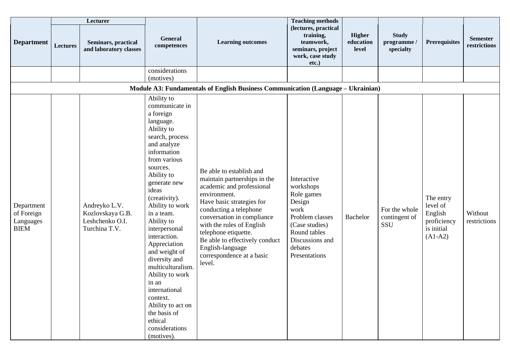|                                                      |          | Lecturer                                                              |                                                                                                                                                                                                                                                                                                                                                                                                                                                                                                                     |                                                                                                                                                                                                                                                                                                                                              | <b>Teaching methods</b>                                                                                                                                      |                                     |                                        |                                                                            |                                 |
|------------------------------------------------------|----------|-----------------------------------------------------------------------|---------------------------------------------------------------------------------------------------------------------------------------------------------------------------------------------------------------------------------------------------------------------------------------------------------------------------------------------------------------------------------------------------------------------------------------------------------------------------------------------------------------------|----------------------------------------------------------------------------------------------------------------------------------------------------------------------------------------------------------------------------------------------------------------------------------------------------------------------------------------------|--------------------------------------------------------------------------------------------------------------------------------------------------------------|-------------------------------------|----------------------------------------|----------------------------------------------------------------------------|---------------------------------|
| <b>Department</b>                                    | Lectures | Seminars, practical<br>and laboratory classes                         | <b>General</b><br>competences                                                                                                                                                                                                                                                                                                                                                                                                                                                                                       | <b>Learning outcomes</b>                                                                                                                                                                                                                                                                                                                     | (lectures, practical<br>training,<br>teamwork,<br>seminars, project<br>work, case study<br>$etc.$ )                                                          | <b>Higher</b><br>education<br>level | <b>Study</b><br>programme<br>specialty | <b>Prerequisites</b>                                                       | <b>Semester</b><br>restrictions |
|                                                      |          |                                                                       | considerations<br>(motives)                                                                                                                                                                                                                                                                                                                                                                                                                                                                                         |                                                                                                                                                                                                                                                                                                                                              |                                                                                                                                                              |                                     |                                        |                                                                            |                                 |
|                                                      |          |                                                                       |                                                                                                                                                                                                                                                                                                                                                                                                                                                                                                                     | Module A3: Fundamentals of English Business Communication (Language - Ukrainian)                                                                                                                                                                                                                                                             |                                                                                                                                                              |                                     |                                        |                                                                            |                                 |
| Department<br>of Foreign<br>Languages<br><b>BIEM</b> |          | Andreyko L.V.<br>Kozlovskaya G.B.<br>Leshchenko O.I.<br>Turchina T.V. | Ability to<br>communicate in<br>a foreign<br>language.<br>Ability to<br>search, process<br>and analyze<br>information<br>from various<br>sources.<br>Ability to<br>generate new<br>ideas<br>(creativity).<br>Ability to work<br>in a team.<br>Ability to<br>interpersonal<br>interaction.<br>Appreciation<br>and weight of<br>diversity and<br>multiculturalism.<br>Ability to work<br>in an<br>$\sim$<br>international<br>context.<br>Ability to act on<br>the basis of<br>ethical<br>considerations<br>(motives). | Be able to establish and<br>maintain partnerships in the<br>academic and professional<br>environment.<br>Have basic strategies for<br>conducting a telephone<br>conversation in compliance<br>with the rules of English<br>telephone etiquette.<br>Be able to effectively conduct<br>English-language<br>correspondence at a basic<br>level. | Interactive<br>workshops<br>Role games<br>Design<br>work<br>Problem classes<br>(Case studies)<br>Round tables<br>Discussions and<br>debates<br>Presentations | <b>Bachelor</b>                     | For the whole<br>contingent of<br>SSU  | The entry<br>level of<br>English<br>proficiency<br>is initial<br>$(A1-A2)$ | Without<br>restrictions         |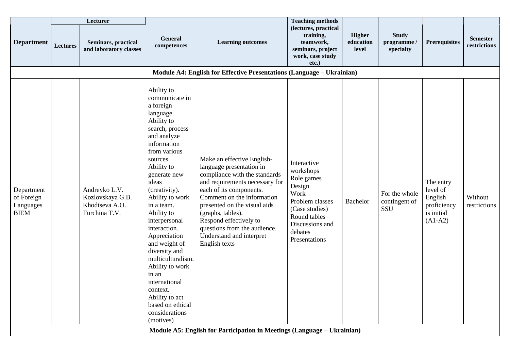|                                                      |                 | Lecturer                                                             |                                                                                                                                                                                                                                                                                                                                                                                                                                                                                                |                                                                                                                                                                                                                                                                                                                                                | <b>Teaching methods</b>                                                                                                                                      |                                     |                                         |                                                                            |                                 |
|------------------------------------------------------|-----------------|----------------------------------------------------------------------|------------------------------------------------------------------------------------------------------------------------------------------------------------------------------------------------------------------------------------------------------------------------------------------------------------------------------------------------------------------------------------------------------------------------------------------------------------------------------------------------|------------------------------------------------------------------------------------------------------------------------------------------------------------------------------------------------------------------------------------------------------------------------------------------------------------------------------------------------|--------------------------------------------------------------------------------------------------------------------------------------------------------------|-------------------------------------|-----------------------------------------|----------------------------------------------------------------------------|---------------------------------|
| <b>Department</b>                                    | <b>Lectures</b> | <b>Seminars, practical</b><br>and laboratory classes                 | <b>General</b><br>competences                                                                                                                                                                                                                                                                                                                                                                                                                                                                  | <b>Learning outcomes</b>                                                                                                                                                                                                                                                                                                                       | (lectures, practical<br>training,<br>teamwork,<br>seminars, project<br>work, case study<br>etc.)                                                             | <b>Higher</b><br>education<br>level | <b>Study</b><br>programme/<br>specialty | <b>Prerequisites</b>                                                       | <b>Semester</b><br>restrictions |
|                                                      |                 |                                                                      |                                                                                                                                                                                                                                                                                                                                                                                                                                                                                                | Module A4: English for Effective Presentations (Language - Ukrainian)                                                                                                                                                                                                                                                                          |                                                                                                                                                              |                                     |                                         |                                                                            |                                 |
| Department<br>of Foreign<br>Languages<br><b>BIEM</b> |                 | Andreyko L.V.<br>Kozlovskaya G.B.<br>Khodtseva A.O.<br>Turchina T.V. | Ability to<br>communicate in<br>a foreign<br>language.<br>Ability to<br>search, process<br>and analyze<br>information<br>from various<br>sources.<br>Ability to<br>generate new<br>ideas<br>(creativity).<br>Ability to work<br>in a team.<br>Ability to<br>interpersonal<br>interaction.<br>Appreciation<br>and weight of<br>diversity and<br>multiculturalism.<br>Ability to work<br>in an<br>international<br>context.<br>Ability to act<br>based on ethical<br>considerations<br>(motives) | Make an effective English-<br>language presentation in<br>compliance with the standards<br>and requirements necessary for<br>each of its components.<br>Comment on the information<br>presented on the visual aids<br>(graphs, tables).<br>Respond effectively to<br>questions from the audience.<br>Understand and interpret<br>English texts | Interactive<br>workshops<br>Role games<br>Design<br>Work<br>Problem classes<br>(Case studies)<br>Round tables<br>Discussions and<br>debates<br>Presentations | Bachelor                            | For the whole<br>contingent of<br>SSU   | The entry<br>level of<br>English<br>proficiency<br>is initial<br>$(A1-A2)$ | Without<br>restrictions         |
|                                                      |                 |                                                                      |                                                                                                                                                                                                                                                                                                                                                                                                                                                                                                | Module A5: English for Participation in Meetings (Language – Ukrainian)                                                                                                                                                                                                                                                                        |                                                                                                                                                              |                                     |                                         |                                                                            |                                 |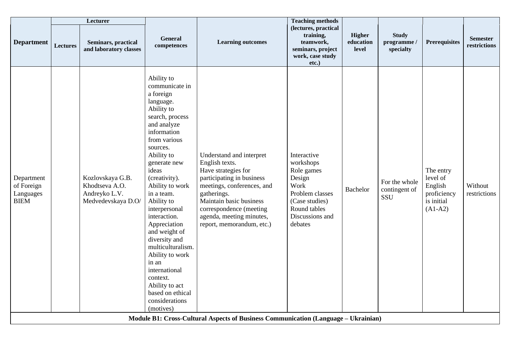|                                                      |          | Lecturer                                                                  |                                                                                                                                                                                                                                                                                                                                                                                                                                                                                                |                                                                                                                                                                                                                                                            | <b>Teaching methods</b>                                                                                                                     |                              |                                         |                                                                            |                                 |
|------------------------------------------------------|----------|---------------------------------------------------------------------------|------------------------------------------------------------------------------------------------------------------------------------------------------------------------------------------------------------------------------------------------------------------------------------------------------------------------------------------------------------------------------------------------------------------------------------------------------------------------------------------------|------------------------------------------------------------------------------------------------------------------------------------------------------------------------------------------------------------------------------------------------------------|---------------------------------------------------------------------------------------------------------------------------------------------|------------------------------|-----------------------------------------|----------------------------------------------------------------------------|---------------------------------|
| <b>Department</b>                                    | Lectures | Seminars, practical<br>and laboratory classes                             | General<br>competences                                                                                                                                                                                                                                                                                                                                                                                                                                                                         | <b>Learning outcomes</b>                                                                                                                                                                                                                                   | (lectures, practical<br>training,<br>teamwork,<br>seminars, project<br>work, case study<br>etc.)                                            | Higher<br>education<br>level | <b>Study</b><br>programme/<br>specialty | <b>Prerequisites</b>                                                       | <b>Semester</b><br>restrictions |
| Department<br>of Foreign<br>Languages<br><b>BIEM</b> |          | Kozlovskaya G.B.<br>Khodtseva A.O.<br>Andreyko L.V.<br>Medvedevskaya D.O/ | Ability to<br>communicate in<br>a foreign<br>language.<br>Ability to<br>search, process<br>and analyze<br>information<br>from various<br>sources.<br>Ability to<br>generate new<br>ideas<br>(creativity).<br>Ability to work<br>in a team.<br>Ability to<br>interpersonal<br>interaction.<br>Appreciation<br>and weight of<br>diversity and<br>multiculturalism.<br>Ability to work<br>in an<br>international<br>context.<br>Ability to act<br>based on ethical<br>considerations<br>(motives) | Understand and interpret<br>English texts.<br>Have strategies for<br>participating in business<br>meetings, conferences, and<br>gatherings.<br>Maintain basic business<br>correspondence (meeting<br>agenda, meeting minutes,<br>report, memorandum, etc.) | Interactive<br>workshops<br>Role games<br>Design<br>Work<br>Problem classes<br>(Case studies)<br>Round tables<br>Discussions and<br>debates | <b>Bachelor</b>              | For the whole<br>contingent of<br>SSU   | The entry<br>level of<br>English<br>proficiency<br>is initial<br>$(A1-A2)$ | Without<br>restrictions         |
|                                                      |          |                                                                           |                                                                                                                                                                                                                                                                                                                                                                                                                                                                                                | Module B1: Cross-Cultural Aspects of Business Communication (Language - Ukrainian)                                                                                                                                                                         |                                                                                                                                             |                              |                                         |                                                                            |                                 |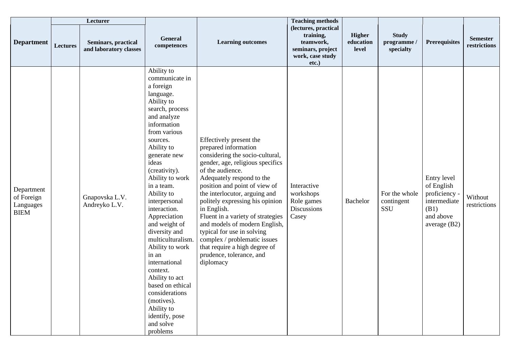|                                                      |                 | Lecturer                                             |                                                                                                                                                                                                                                                                                                                                                                                                                                                                                                                                                          |                                                                                                                                                                                                                                                                                                                                                                                                                                                                                                           | <b>Teaching methods</b>                                                                          |                              |                                        |                                                                                                 |                                 |
|------------------------------------------------------|-----------------|------------------------------------------------------|----------------------------------------------------------------------------------------------------------------------------------------------------------------------------------------------------------------------------------------------------------------------------------------------------------------------------------------------------------------------------------------------------------------------------------------------------------------------------------------------------------------------------------------------------------|-----------------------------------------------------------------------------------------------------------------------------------------------------------------------------------------------------------------------------------------------------------------------------------------------------------------------------------------------------------------------------------------------------------------------------------------------------------------------------------------------------------|--------------------------------------------------------------------------------------------------|------------------------------|----------------------------------------|-------------------------------------------------------------------------------------------------|---------------------------------|
| <b>Department</b>                                    | <b>Lectures</b> | <b>Seminars, practical</b><br>and laboratory classes | <b>General</b><br>competences                                                                                                                                                                                                                                                                                                                                                                                                                                                                                                                            | <b>Learning outcomes</b>                                                                                                                                                                                                                                                                                                                                                                                                                                                                                  | (lectures, practical<br>training,<br>teamwork,<br>seminars, project<br>work, case study<br>etc.) | Higher<br>education<br>level | <b>Study</b><br>programme<br>specialty | <b>Prerequisites</b>                                                                            | <b>Semester</b><br>restrictions |
| Department<br>of Foreign<br>Languages<br><b>BIEM</b> |                 | Gnapovska L.V.<br>Andreyko L.V.                      | Ability to<br>communicate in<br>a foreign<br>language.<br>Ability to<br>search, process<br>and analyze<br>information<br>from various<br>sources.<br>Ability to<br>generate new<br>ideas<br>(creativity).<br>Ability to work<br>in a team.<br>Ability to<br>interpersonal<br>interaction.<br>Appreciation<br>and weight of<br>diversity and<br>multiculturalism.<br>Ability to work<br>in an<br>international<br>context.<br>Ability to act<br>based on ethical<br>considerations<br>(motives).<br>Ability to<br>identify, pose<br>and solve<br>problems | Effectively present the<br>prepared information<br>considering the socio-cultural,<br>gender, age, religious specifics<br>of the audience.<br>Adequately respond to the<br>position and point of view of<br>the interlocutor, arguing and<br>politely expressing his opinion<br>in English.<br>Fluent in a variety of strategies<br>and models of modern English,<br>typical for use in solving<br>complex / problematic issues<br>that require a high degree of<br>prudence, tolerance, and<br>diplomacy | Interactive<br>workshops<br>Role games<br>Discussions<br>Casey                                   | Bachelor                     | For the whole<br>contingent<br>SSU     | Entry level<br>of English<br>proficiency -<br>intermediate<br>(B1)<br>and above<br>average (B2) | Without<br>restrictions         |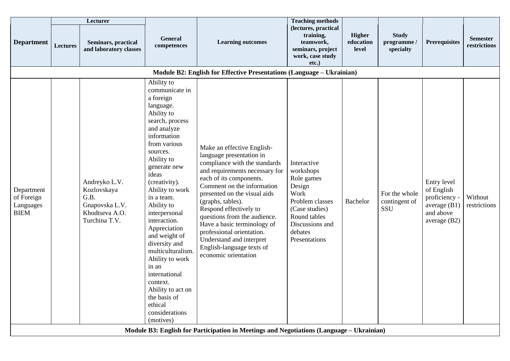|                                                      |                 | Lecturer                                                                                  |                                                                                                                                                                                                                                                                                                                                                                                                                                                                                                          |                                                                                                                                                                                                                                                                                                                                                                                                                                                                                                                                            | <b>Teaching methods</b>                                                                                                                                      |                                     |                                        |                                                                                           |                                 |
|------------------------------------------------------|-----------------|-------------------------------------------------------------------------------------------|----------------------------------------------------------------------------------------------------------------------------------------------------------------------------------------------------------------------------------------------------------------------------------------------------------------------------------------------------------------------------------------------------------------------------------------------------------------------------------------------------------|--------------------------------------------------------------------------------------------------------------------------------------------------------------------------------------------------------------------------------------------------------------------------------------------------------------------------------------------------------------------------------------------------------------------------------------------------------------------------------------------------------------------------------------------|--------------------------------------------------------------------------------------------------------------------------------------------------------------|-------------------------------------|----------------------------------------|-------------------------------------------------------------------------------------------|---------------------------------|
| <b>Department</b>                                    | <b>Lectures</b> | Seminars, practical<br>and laboratory classes                                             | General<br>competences                                                                                                                                                                                                                                                                                                                                                                                                                                                                                   | <b>Learning outcomes</b>                                                                                                                                                                                                                                                                                                                                                                                                                                                                                                                   | (lectures, practical<br>training,<br>teamwork,<br>seminars, project<br>work, case study<br>etc.)                                                             | <b>Higher</b><br>education<br>level | <b>Study</b><br>programme<br>specialty | <b>Prerequisites</b>                                                                      | <b>Semester</b><br>restrictions |
|                                                      |                 |                                                                                           |                                                                                                                                                                                                                                                                                                                                                                                                                                                                                                          | Module B2: English for Effective Presentations (Language - Ukrainian)                                                                                                                                                                                                                                                                                                                                                                                                                                                                      |                                                                                                                                                              |                                     |                                        |                                                                                           |                                 |
| Department<br>of Foreign<br>Languages<br><b>BIEM</b> |                 | Andreyko L.V.<br>Kozlovskaya<br>G.B.<br>Gnapovska L.V.<br>Khodtseva A.O.<br>Turchina T.V. | Ability to<br>communicate in<br>a foreign<br>language.<br>Ability to<br>search, process<br>and analyze<br>information<br>from various<br>sources.<br>Ability to<br>generate new<br>ideas<br>(creativity).<br>Ability to work<br>in a team.<br>Ability to<br>interpersonal<br>interaction.<br>Appreciation<br>and weight of<br>diversity and<br>multiculturalism.<br>Ability to work<br>in an<br>international<br>context.<br>Ability to act on<br>the basis of<br>ethical<br>considerations<br>(motives) | Make an effective English-<br>language presentation in<br>compliance with the standards<br>and requirements necessary for<br>each of its components.<br>Comment on the information<br>presented on the visual aids<br>(graphs, tables).<br>Respond effectively to<br>questions from the audience.<br>Have a basic terminology of<br>professional orientation.<br>Understand and interpret<br>English-language texts of<br>economic orientation<br>Module B3: English for Participation in Meetings and Negotiations (Language - Ukrainian) | Interactive<br>workshops<br>Role games<br>Design<br>Work<br>Problem classes<br>(Case studies)<br>Round tables<br>Discussions and<br>debates<br>Presentations | Bachelor                            | For the whole<br>contingent of<br>SSU  | Entry level<br>of English<br>proficiency -<br>average $(B1)$<br>and above<br>average (B2) | Without<br>restrictions         |
|                                                      |                 |                                                                                           |                                                                                                                                                                                                                                                                                                                                                                                                                                                                                                          |                                                                                                                                                                                                                                                                                                                                                                                                                                                                                                                                            |                                                                                                                                                              |                                     |                                        |                                                                                           |                                 |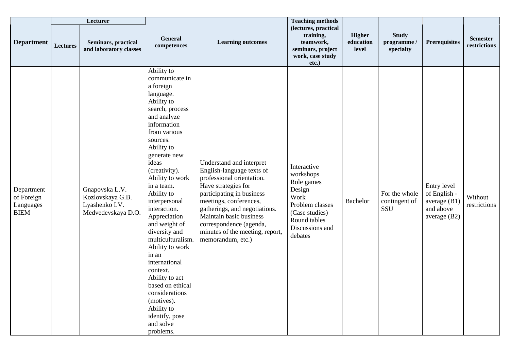|                                                      |          | Lecturer                                                                   |                                                                                                                                                                                                                                                                                                                                                                                                                                                                                                                                                           |                                                                                                                                                                                                                                                                                                                 | <b>Teaching methods</b>                                                                                                                     |                              |                                         |                                                                            |                                 |
|------------------------------------------------------|----------|----------------------------------------------------------------------------|-----------------------------------------------------------------------------------------------------------------------------------------------------------------------------------------------------------------------------------------------------------------------------------------------------------------------------------------------------------------------------------------------------------------------------------------------------------------------------------------------------------------------------------------------------------|-----------------------------------------------------------------------------------------------------------------------------------------------------------------------------------------------------------------------------------------------------------------------------------------------------------------|---------------------------------------------------------------------------------------------------------------------------------------------|------------------------------|-----------------------------------------|----------------------------------------------------------------------------|---------------------------------|
| <b>Department</b>                                    | Lectures | <b>Seminars, practical</b><br>and laboratory classes                       | General<br>competences                                                                                                                                                                                                                                                                                                                                                                                                                                                                                                                                    | <b>Learning outcomes</b>                                                                                                                                                                                                                                                                                        | (lectures, practical<br>training,<br>teamwork,<br>seminars, project<br>work, case study<br>$etc.$ )                                         | Higher<br>education<br>level | <b>Study</b><br>programme/<br>specialty | <b>Prerequisites</b>                                                       | <b>Semester</b><br>restrictions |
| Department<br>of Foreign<br>Languages<br><b>BIEM</b> |          | Gnapovska L.V.<br>Kozlovskaya G.B.<br>Lyashenko I.V.<br>Medvedevskaya D.O. | Ability to<br>communicate in<br>a foreign<br>language.<br>Ability to<br>search, process<br>and analyze<br>information<br>from various<br>sources.<br>Ability to<br>generate new<br>ideas<br>(creativity).<br>Ability to work<br>in a team.<br>Ability to<br>interpersonal<br>interaction.<br>Appreciation<br>and weight of<br>diversity and<br>multiculturalism.<br>Ability to work<br>in an<br>international<br>context.<br>Ability to act<br>based on ethical<br>considerations<br>(motives).<br>Ability to<br>identify, pose<br>and solve<br>problems. | Understand and interpret<br>English-language texts of<br>professional orientation.<br>Have strategies for<br>participating in business<br>meetings, conferences,<br>gatherings, and negotiations.<br>Maintain basic business<br>correspondence (agenda,<br>minutes of the meeting, report,<br>memorandum, etc.) | Interactive<br>workshops<br>Role games<br>Design<br>Work<br>Problem classes<br>(Case studies)<br>Round tables<br>Discussions and<br>debates | Bachelor                     | For the whole<br>contingent of<br>SSU   | Entry level<br>of English -<br>average $(B1)$<br>and above<br>average (B2) | Without<br>restrictions         |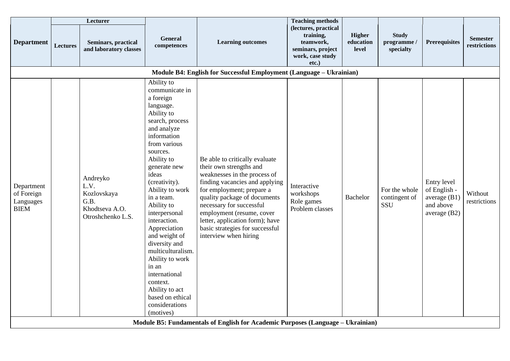|                                                      |          | Lecturer                                                                       |                                                                                                                                                                                                                                                                                                                                                                                                                                                                                                |                                                                                                                                                                                                                                                                                                                                                                                                                                     | <b>Teaching methods</b>                                                                          |                                            |                                              |                                                                            |                                 |
|------------------------------------------------------|----------|--------------------------------------------------------------------------------|------------------------------------------------------------------------------------------------------------------------------------------------------------------------------------------------------------------------------------------------------------------------------------------------------------------------------------------------------------------------------------------------------------------------------------------------------------------------------------------------|-------------------------------------------------------------------------------------------------------------------------------------------------------------------------------------------------------------------------------------------------------------------------------------------------------------------------------------------------------------------------------------------------------------------------------------|--------------------------------------------------------------------------------------------------|--------------------------------------------|----------------------------------------------|----------------------------------------------------------------------------|---------------------------------|
| <b>Department</b>                                    | Lectures | Seminars, practical<br>and laboratory classes                                  | General<br>competences                                                                                                                                                                                                                                                                                                                                                                                                                                                                         | <b>Learning outcomes</b>                                                                                                                                                                                                                                                                                                                                                                                                            | (lectures, practical<br>training,<br>teamwork,<br>seminars, project<br>work, case study<br>etc.) | <b>Higher</b><br>education<br><b>level</b> | <b>Study</b><br>programme/<br>specialty      | <b>Prerequisites</b>                                                       | <b>Semester</b><br>restrictions |
|                                                      |          |                                                                                |                                                                                                                                                                                                                                                                                                                                                                                                                                                                                                | Module B4: English for Successful Employment (Language - Ukrainian)                                                                                                                                                                                                                                                                                                                                                                 |                                                                                                  |                                            |                                              |                                                                            |                                 |
| Department<br>of Foreign<br>Languages<br><b>BIEM</b> |          | Andreyko<br>L.V.<br>Kozlovskaya<br>G.B.<br>Khodtseva A.O.<br>Otroshchenko L.S. | Ability to<br>communicate in<br>a foreign<br>language.<br>Ability to<br>search, process<br>and analyze<br>information<br>from various<br>sources.<br>Ability to<br>generate new<br>ideas<br>(creativity).<br>Ability to work<br>in a team.<br>Ability to<br>interpersonal<br>interaction.<br>Appreciation<br>and weight of<br>diversity and<br>multiculturalism.<br>Ability to work<br>in an<br>international<br>context.<br>Ability to act<br>based on ethical<br>considerations<br>(motives) | Be able to critically evaluate<br>their own strengths and<br>weaknesses in the process of<br>finding vacancies and applying<br>for employment; prepare a<br>quality package of documents<br>necessary for successful<br>employment (resume, cover<br>letter, application form); have<br>basic strategies for successful<br>interview when hiring<br>Module B5: Fundamentals of English for Academic Purposes (Language - Ukrainian) | Interactive<br>workshops<br>Role games<br>Problem classes                                        | Bachelor                                   | For the whole<br>contingent of<br><b>SSU</b> | Entry level<br>of English -<br>average $(B1)$<br>and above<br>average (B2) | Without<br>restrictions         |
|                                                      |          |                                                                                |                                                                                                                                                                                                                                                                                                                                                                                                                                                                                                |                                                                                                                                                                                                                                                                                                                                                                                                                                     |                                                                                                  |                                            |                                              |                                                                            |                                 |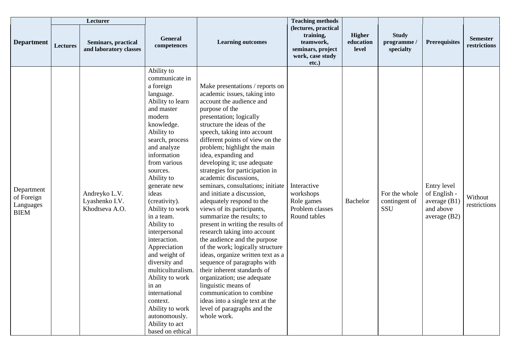|                                                      |                 | Lecturer                                             |                                                                                                                                                                                                                                                                                                                                                                                                                                                                                                                                                               |                                                                                                                                                                                                                                                                                                                                                                                                                                                                                                                                                                                                                                                                                                                                                                                                                                                                                                                                                                    | <b>Teaching methods</b>                                                                             |                                     |                                        |                                                                            |                                 |
|------------------------------------------------------|-----------------|------------------------------------------------------|---------------------------------------------------------------------------------------------------------------------------------------------------------------------------------------------------------------------------------------------------------------------------------------------------------------------------------------------------------------------------------------------------------------------------------------------------------------------------------------------------------------------------------------------------------------|--------------------------------------------------------------------------------------------------------------------------------------------------------------------------------------------------------------------------------------------------------------------------------------------------------------------------------------------------------------------------------------------------------------------------------------------------------------------------------------------------------------------------------------------------------------------------------------------------------------------------------------------------------------------------------------------------------------------------------------------------------------------------------------------------------------------------------------------------------------------------------------------------------------------------------------------------------------------|-----------------------------------------------------------------------------------------------------|-------------------------------------|----------------------------------------|----------------------------------------------------------------------------|---------------------------------|
| <b>Department</b>                                    | <b>Lectures</b> | <b>Seminars, practical</b><br>and laboratory classes | General<br>competences                                                                                                                                                                                                                                                                                                                                                                                                                                                                                                                                        | <b>Learning outcomes</b>                                                                                                                                                                                                                                                                                                                                                                                                                                                                                                                                                                                                                                                                                                                                                                                                                                                                                                                                           | (lectures, practical<br>training,<br>teamwork,<br>seminars, project<br>work, case study<br>$etc.$ ) | <b>Higher</b><br>education<br>level | <b>Study</b><br>programme<br>specialty | <b>Prerequisites</b>                                                       | <b>Semester</b><br>restrictions |
| Department<br>of Foreign<br>Languages<br><b>BIEM</b> |                 | Andreyko L.V.<br>Lyashenko I.V.<br>Khodtseva A.O.    | Ability to<br>communicate in<br>a foreign<br>language.<br>Ability to learn<br>and master<br>modern<br>knowledge.<br>Ability to<br>search, process<br>and analyze<br>information<br>from various<br>sources.<br>Ability to<br>generate new<br>ideas<br>(creativity).<br>Ability to work<br>in a team.<br>Ability to<br>interpersonal<br>interaction.<br>Appreciation<br>and weight of<br>diversity and<br>multiculturalism.<br>Ability to work<br>in an<br>international<br>context.<br>Ability to work<br>autonomously.<br>Ability to act<br>based on ethical | Make presentations / reports on<br>academic issues, taking into<br>account the audience and<br>purpose of the<br>presentation; logically<br>structure the ideas of the<br>speech, taking into account<br>different points of view on the<br>problem; highlight the main<br>idea, expanding and<br>developing it; use adequate<br>strategies for participation in<br>academic discussions,<br>seminars, consultations; initiate<br>and initiate a discussion,<br>adequately respond to the<br>views of its participants,<br>summarize the results; to<br>present in writing the results of<br>research taking into account<br>the audience and the purpose<br>of the work; logically structure<br>ideas, organize written text as a<br>sequence of paragraphs with<br>their inherent standards of<br>organization; use adequate<br>linguistic means of<br>communication to combine<br>ideas into a single text at the<br>level of paragraphs and the<br>whole work. | Interactive<br>workshops<br>Role games<br>Problem classes<br>Round tables                           | Bachelor                            | For the whole<br>contingent of<br>SSU  | Entry level<br>of English -<br>average (B1)<br>and above<br>average $(B2)$ | Without<br>restrictions         |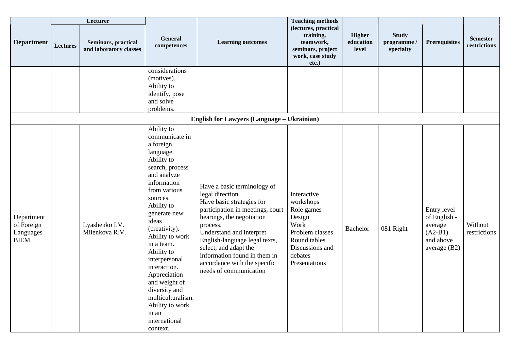|                                                      |                 | Lecturer                                             |                                                                                                                                                                                                                                                                                                                                                                                                                           |                                                                                                                                                                                                                                                                                                                                           | <b>Teaching methods</b>                                                                                                                    |                              |                                         |                                                                                    |                                 |
|------------------------------------------------------|-----------------|------------------------------------------------------|---------------------------------------------------------------------------------------------------------------------------------------------------------------------------------------------------------------------------------------------------------------------------------------------------------------------------------------------------------------------------------------------------------------------------|-------------------------------------------------------------------------------------------------------------------------------------------------------------------------------------------------------------------------------------------------------------------------------------------------------------------------------------------|--------------------------------------------------------------------------------------------------------------------------------------------|------------------------------|-----------------------------------------|------------------------------------------------------------------------------------|---------------------------------|
| <b>Department</b>                                    | <b>Lectures</b> | <b>Seminars, practical</b><br>and laboratory classes | <b>General</b><br>competences                                                                                                                                                                                                                                                                                                                                                                                             | <b>Learning outcomes</b>                                                                                                                                                                                                                                                                                                                  | (lectures, practical<br>training,<br>teamwork,<br>seminars, project<br>work, case study<br>etc.)                                           | Higher<br>education<br>level | <b>Study</b><br>programme.<br>specialty | <b>Prerequisites</b>                                                               | <b>Semester</b><br>restrictions |
|                                                      |                 |                                                      | considerations<br>(motives).<br>Ability to<br>identify, pose<br>and solve<br>problems.                                                                                                                                                                                                                                                                                                                                    |                                                                                                                                                                                                                                                                                                                                           |                                                                                                                                            |                              |                                         |                                                                                    |                                 |
|                                                      |                 |                                                      |                                                                                                                                                                                                                                                                                                                                                                                                                           | <b>English for Lawyers (Language – Ukrainian)</b>                                                                                                                                                                                                                                                                                         |                                                                                                                                            |                              |                                         |                                                                                    |                                 |
| Department<br>of Foreign<br>Languages<br><b>BIEM</b> |                 | Lyashenko I.V.<br>Milenkova R.V.                     | Ability to<br>communicate in<br>a foreign<br>language.<br>Ability to<br>search, process<br>and analyze<br>information<br>from various<br>sources.<br>Ability to<br>generate new<br>ideas<br>(creativity).<br>Ability to work<br>in a team.<br>Ability to<br>interpersonal<br>interaction.<br>Appreciation<br>and weight of<br>diversity and<br>multiculturalism.<br>Ability to work<br>in an<br>international<br>context. | Have a basic terminology of<br>legal direction.<br>Have basic strategies for<br>participation in meetings, court<br>hearings, the negotiation<br>process.<br>Understand and interpret<br>English-language legal texts,<br>select, and adapt the<br>information found in them in<br>accordance with the specific<br>needs of communication | Interactive<br>workshops<br>Role games<br>Design<br>Work<br>Problem classes<br>Round tables<br>Discussions and<br>debates<br>Presentations | <b>Bachelor</b>              | 081 Right                               | Entry level<br>of English -<br>average<br>$(A2-B1)$<br>and above<br>average $(B2)$ | Without<br>restrictions         |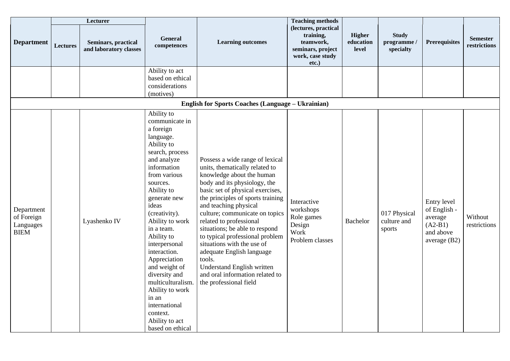|                                                      |                 | Lecturer                                      |                                                                                                                                                                                                                                                                                                                                                                                                                                                                 |                                                                                                                                                                                                                                                                                                                                                                                                                                                                                                                                    | <b>Teaching methods</b>                                                                             |                              |                                         |                                                                                  |                                 |
|------------------------------------------------------|-----------------|-----------------------------------------------|-----------------------------------------------------------------------------------------------------------------------------------------------------------------------------------------------------------------------------------------------------------------------------------------------------------------------------------------------------------------------------------------------------------------------------------------------------------------|------------------------------------------------------------------------------------------------------------------------------------------------------------------------------------------------------------------------------------------------------------------------------------------------------------------------------------------------------------------------------------------------------------------------------------------------------------------------------------------------------------------------------------|-----------------------------------------------------------------------------------------------------|------------------------------|-----------------------------------------|----------------------------------------------------------------------------------|---------------------------------|
| <b>Department</b>                                    | <b>Lectures</b> | Seminars, practical<br>and laboratory classes | General<br>competences                                                                                                                                                                                                                                                                                                                                                                                                                                          | <b>Learning outcomes</b>                                                                                                                                                                                                                                                                                                                                                                                                                                                                                                           | (lectures, practical<br>training,<br>teamwork,<br>seminars, project<br>work, case study<br>$etc.$ ) | Higher<br>education<br>level | <b>Study</b><br>programme.<br>specialty | <b>Prerequisites</b>                                                             | <b>Semester</b><br>restrictions |
|                                                      |                 |                                               | Ability to act<br>based on ethical<br>considerations<br>(motives)                                                                                                                                                                                                                                                                                                                                                                                               |                                                                                                                                                                                                                                                                                                                                                                                                                                                                                                                                    |                                                                                                     |                              |                                         |                                                                                  |                                 |
|                                                      |                 |                                               |                                                                                                                                                                                                                                                                                                                                                                                                                                                                 | <b>English for Sports Coaches (Language – Ukrainian)</b>                                                                                                                                                                                                                                                                                                                                                                                                                                                                           |                                                                                                     |                              |                                         |                                                                                  |                                 |
| Department<br>of Foreign<br>Languages<br><b>BIEM</b> |                 | Lyashenko IV                                  | Ability to<br>communicate in<br>a foreign<br>language.<br>Ability to<br>search, process<br>and analyze<br>information<br>from various<br>sources.<br>Ability to<br>generate new<br>ideas<br>(creativity).<br>Ability to work<br>in a team.<br>Ability to<br>interpersonal<br>interaction.<br>Appreciation<br>and weight of<br>diversity and<br>multiculturalism.<br>Ability to work<br>in an<br>international<br>context.<br>Ability to act<br>based on ethical | Possess a wide range of lexical<br>units, thematically related to<br>knowledge about the human<br>body and its physiology, the<br>basic set of physical exercises,<br>the principles of sports training<br>and teaching physical<br>culture; communicate on topics<br>related to professional<br>situations; be able to respond<br>to typical professional problem<br>situations with the use of<br>adequate English language<br>tools.<br>Understand English written<br>and oral information related to<br>the professional field | Interactive<br>workshops<br>Role games<br>Design<br>Work<br>Problem classes                         | <b>Bachelor</b>              | 017 Physical<br>culture and<br>sports   | Entry level<br>of English -<br>average<br>$(A2-B1)$<br>and above<br>average (B2) | Without<br>restrictions         |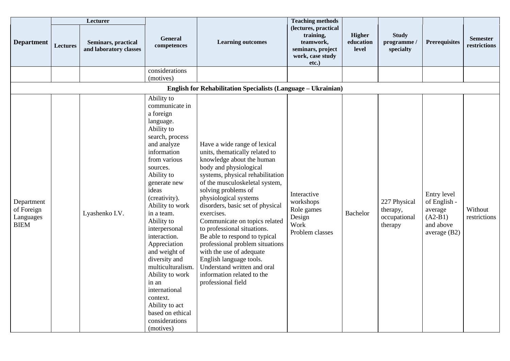|                                                      |                 | Lecturer                                      |                                                                                                                                                                                                                                                                                                                                                                                                                                                                                                |                                                                                                                                                                                                                                                                                                                                                                                                                                                                                                                                                                             | <b>Teaching methods</b>                                                                             |                              |                                                     |                                                                                  |                                 |
|------------------------------------------------------|-----------------|-----------------------------------------------|------------------------------------------------------------------------------------------------------------------------------------------------------------------------------------------------------------------------------------------------------------------------------------------------------------------------------------------------------------------------------------------------------------------------------------------------------------------------------------------------|-----------------------------------------------------------------------------------------------------------------------------------------------------------------------------------------------------------------------------------------------------------------------------------------------------------------------------------------------------------------------------------------------------------------------------------------------------------------------------------------------------------------------------------------------------------------------------|-----------------------------------------------------------------------------------------------------|------------------------------|-----------------------------------------------------|----------------------------------------------------------------------------------|---------------------------------|
| <b>Department</b>                                    | <b>Lectures</b> | Seminars, practical<br>and laboratory classes | General<br>competences                                                                                                                                                                                                                                                                                                                                                                                                                                                                         | <b>Learning outcomes</b>                                                                                                                                                                                                                                                                                                                                                                                                                                                                                                                                                    | (lectures, practical<br>training,<br>teamwork,<br>seminars, project<br>work, case study<br>$etc.$ ) | Higher<br>education<br>level | <b>Study</b><br>programme.<br>specialty             | <b>Prerequisites</b>                                                             | <b>Semester</b><br>restrictions |
|                                                      |                 |                                               | considerations<br>(motives)                                                                                                                                                                                                                                                                                                                                                                                                                                                                    |                                                                                                                                                                                                                                                                                                                                                                                                                                                                                                                                                                             |                                                                                                     |                              |                                                     |                                                                                  |                                 |
|                                                      |                 |                                               |                                                                                                                                                                                                                                                                                                                                                                                                                                                                                                | <b>English for Rehabilitation Specialists (Language - Ukrainian)</b>                                                                                                                                                                                                                                                                                                                                                                                                                                                                                                        |                                                                                                     |                              |                                                     |                                                                                  |                                 |
| Department<br>of Foreign<br>Languages<br><b>BIEM</b> |                 | Lyashenko I.V.                                | Ability to<br>communicate in<br>a foreign<br>language.<br>Ability to<br>search, process<br>and analyze<br>information<br>from various<br>sources.<br>Ability to<br>generate new<br>ideas<br>(creativity).<br>Ability to work<br>in a team.<br>Ability to<br>interpersonal<br>interaction.<br>Appreciation<br>and weight of<br>diversity and<br>multiculturalism.<br>Ability to work<br>in an<br>international<br>context.<br>Ability to act<br>based on ethical<br>considerations<br>(motives) | Have a wide range of lexical<br>units, thematically related to<br>knowledge about the human<br>body and physiological<br>systems, physical rehabilitation<br>of the musculoskeletal system,<br>solving problems of<br>physiological systems<br>disorders, basic set of physical<br>exercises.<br>Communicate on topics related<br>to professional situations.<br>Be able to respond to typical<br>professional problem situations<br>with the use of adequate<br>English language tools.<br>Understand written and oral<br>information related to the<br>professional field | Interactive<br>workshops<br>Role games<br>Design<br>Work<br>Problem classes                         | Bachelor                     | 227 Physical<br>therapy,<br>occupational<br>therapy | Entry level<br>of English -<br>average<br>$(A2-B1)$<br>and above<br>average (B2) | Without<br>restrictions         |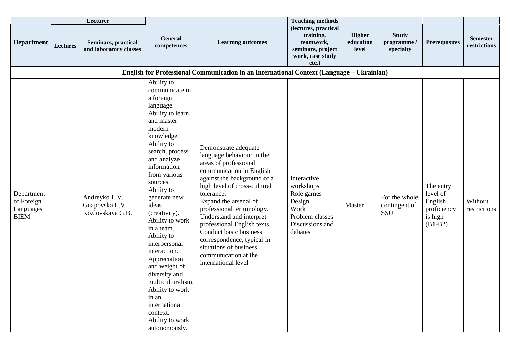|                                                      |                 | Lecturer                                            |                                                                                                                                                                                                                                                                                                                                                                                                                                                                                                                         |                                                                                                                                                                                                                                                                                                                                                                                                                                       | <b>Teaching methods</b>                                                                                   |                                     |                                          |                                                                         |                                 |
|------------------------------------------------------|-----------------|-----------------------------------------------------|-------------------------------------------------------------------------------------------------------------------------------------------------------------------------------------------------------------------------------------------------------------------------------------------------------------------------------------------------------------------------------------------------------------------------------------------------------------------------------------------------------------------------|---------------------------------------------------------------------------------------------------------------------------------------------------------------------------------------------------------------------------------------------------------------------------------------------------------------------------------------------------------------------------------------------------------------------------------------|-----------------------------------------------------------------------------------------------------------|-------------------------------------|------------------------------------------|-------------------------------------------------------------------------|---------------------------------|
| <b>Department</b>                                    | <b>Lectures</b> | Seminars, practical<br>and laboratory classes       | General<br>competences                                                                                                                                                                                                                                                                                                                                                                                                                                                                                                  | <b>Learning outcomes</b>                                                                                                                                                                                                                                                                                                                                                                                                              | (lectures, practical<br>training,<br>teamwork,<br>seminars, project<br>work, case study<br>$etc.$ )       | <b>Higher</b><br>education<br>level | <b>Study</b><br>programme /<br>specialty | <b>Prerequisites</b>                                                    | <b>Semester</b><br>restrictions |
|                                                      |                 |                                                     |                                                                                                                                                                                                                                                                                                                                                                                                                                                                                                                         | English for Professional Communication in an International Context (Language – Ukrainian)                                                                                                                                                                                                                                                                                                                                             |                                                                                                           |                                     |                                          |                                                                         |                                 |
| Department<br>of Foreign<br>Languages<br><b>BIEM</b> |                 | Andreyko L.V.<br>Gnapovska L.V.<br>Kozlovskaya G.B. | Ability to<br>communicate in<br>a foreign<br>language.<br>Ability to learn<br>and master<br>modern<br>knowledge.<br>Ability to<br>search, process<br>and analyze<br>information<br>from various<br>sources.<br>Ability to<br>generate new<br>ideas<br>(creativity).<br>Ability to work<br>in a team.<br>Ability to<br>interpersonal<br>interaction.<br>Appreciation<br>and weight of<br>diversity and<br>multiculturalism.<br>Ability to work<br>in an<br>international<br>context.<br>Ability to work<br>autonomously. | Demonstrate adequate<br>language behaviour in the<br>areas of professional<br>communication in English<br>against the background of a<br>high level of cross-cultural<br>tolerance.<br>Expand the arsenal of<br>professional terminology.<br>Understand and interpret<br>professional English texts.<br>Conduct basic business<br>correspondence, typical in<br>situations of business<br>communication at the<br>international level | Interactive<br>workshops<br>Role games<br>Design<br>Work<br>Problem classes<br>Discussions and<br>debates | Master                              | For the whole<br>contingent of<br>SSU    | The entry<br>level of<br>English<br>proficiency<br>is high<br>$(B1-B2)$ | Without<br>restrictions         |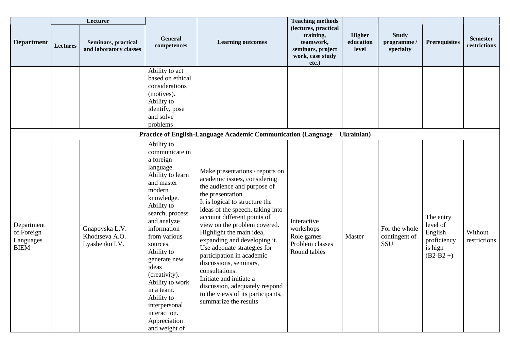|                                                      |          | Lecturer                                           |                                                                                                                                                                                                                                                                                                                                                                                      |                                                                                                                                                                                                                                                                                                                                                                                                                                                                                                                                                         | <b>Teaching methods</b>                                                                          |                                     |                                         |                                                                          |                                 |
|------------------------------------------------------|----------|----------------------------------------------------|--------------------------------------------------------------------------------------------------------------------------------------------------------------------------------------------------------------------------------------------------------------------------------------------------------------------------------------------------------------------------------------|---------------------------------------------------------------------------------------------------------------------------------------------------------------------------------------------------------------------------------------------------------------------------------------------------------------------------------------------------------------------------------------------------------------------------------------------------------------------------------------------------------------------------------------------------------|--------------------------------------------------------------------------------------------------|-------------------------------------|-----------------------------------------|--------------------------------------------------------------------------|---------------------------------|
| <b>Department</b>                                    | Lectures | Seminars, practical<br>and laboratory classes      | General<br>competences                                                                                                                                                                                                                                                                                                                                                               | <b>Learning outcomes</b>                                                                                                                                                                                                                                                                                                                                                                                                                                                                                                                                | (lectures, practical<br>training,<br>teamwork,<br>seminars, project<br>work, case study<br>etc.) | <b>Higher</b><br>education<br>level | <b>Study</b><br>programme/<br>specialty | <b>Prerequisites</b>                                                     | <b>Semester</b><br>restrictions |
|                                                      |          |                                                    | Ability to act<br>based on ethical<br>considerations<br>(motives).<br>Ability to<br>identify, pose<br>and solve<br>problems                                                                                                                                                                                                                                                          |                                                                                                                                                                                                                                                                                                                                                                                                                                                                                                                                                         |                                                                                                  |                                     |                                         |                                                                          |                                 |
|                                                      |          |                                                    |                                                                                                                                                                                                                                                                                                                                                                                      | Practice of English-Language Academic Communication (Language - Ukrainian)                                                                                                                                                                                                                                                                                                                                                                                                                                                                              |                                                                                                  |                                     |                                         |                                                                          |                                 |
| Department<br>of Foreign<br>Languages<br><b>BIEM</b> |          | Gnapovska L.V.<br>Khodtseva A.O.<br>Lyashenko I.V. | Ability to<br>communicate in<br>a foreign<br>language.<br>Ability to learn<br>and master<br>modern<br>knowledge.<br>Ability to<br>search, process<br>and analyze<br>information<br>from various<br>sources.<br>Ability to<br>generate new<br>ideas<br>(creativity).<br>Ability to work<br>in a team.<br>Ability to<br>interpersonal<br>interaction.<br>Appreciation<br>and weight of | Make presentations / reports on<br>academic issues, considering<br>the audience and purpose of<br>the presentation.<br>It is logical to structure the<br>ideas of the speech, taking into<br>account different points of<br>view on the problem covered.<br>Highlight the main idea,<br>expanding and developing it.<br>Use adequate strategies for<br>participation in academic<br>discussions, seminars,<br>consultations.<br>Initiate and initiate a<br>discussion, adequately respond<br>to the views of its participants,<br>summarize the results | Interactive<br>workshops<br>Role games<br>Problem classes<br>Round tables                        | Master                              | For the whole<br>contingent of<br>SSU   | The entry<br>level of<br>English<br>proficiency<br>is high<br>$(B2-B2+)$ | Without<br>restrictions         |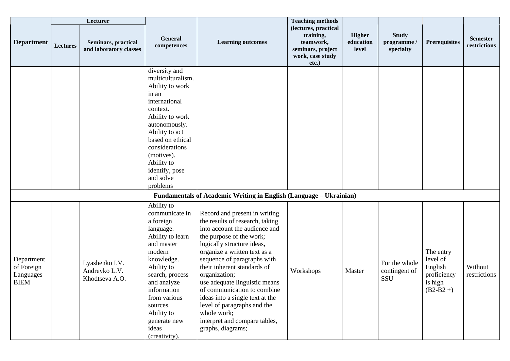|                                                      |          | Lecturer                                          |                                                                                                                                                                                                                                                                     |                                                                                                                                                                                                                                                                                                                                                                                                                                                                                    | <b>Teaching methods</b>                                                                             |                                     |                                        |                                                                          |                                 |
|------------------------------------------------------|----------|---------------------------------------------------|---------------------------------------------------------------------------------------------------------------------------------------------------------------------------------------------------------------------------------------------------------------------|------------------------------------------------------------------------------------------------------------------------------------------------------------------------------------------------------------------------------------------------------------------------------------------------------------------------------------------------------------------------------------------------------------------------------------------------------------------------------------|-----------------------------------------------------------------------------------------------------|-------------------------------------|----------------------------------------|--------------------------------------------------------------------------|---------------------------------|
| <b>Department</b>                                    | Lectures | Seminars, practical<br>and laboratory classes     | <b>General</b><br>competences                                                                                                                                                                                                                                       | <b>Learning outcomes</b>                                                                                                                                                                                                                                                                                                                                                                                                                                                           | (lectures, practical<br>training,<br>teamwork,<br>seminars, project<br>work, case study<br>$etc.$ ) | <b>Higher</b><br>education<br>level | <b>Study</b><br>programme<br>specialty | <b>Prerequisites</b>                                                     | <b>Semester</b><br>restrictions |
|                                                      |          |                                                   | diversity and<br>multiculturalism.<br>Ability to work<br>in an<br>international<br>context.<br>Ability to work<br>autonomously.<br>Ability to act<br>based on ethical<br>considerations<br>(motives).<br>Ability to<br>identify, pose<br>and solve<br>problems      |                                                                                                                                                                                                                                                                                                                                                                                                                                                                                    |                                                                                                     |                                     |                                        |                                                                          |                                 |
|                                                      |          |                                                   |                                                                                                                                                                                                                                                                     | Fundamentals of Academic Writing in English (Language - Ukrainian)                                                                                                                                                                                                                                                                                                                                                                                                                 |                                                                                                     |                                     |                                        |                                                                          |                                 |
| Department<br>of Foreign<br>Languages<br><b>BIEM</b> |          | Lyashenko I.V.<br>Andreyko L.V.<br>Khodtseva A.O. | Ability to<br>communicate in<br>a foreign<br>language.<br>Ability to learn<br>and master<br>modern<br>knowledge.<br>Ability to<br>search, process<br>and analyze<br>information<br>from various<br>sources.<br>Ability to<br>generate new<br>ideas<br>(creativity). | Record and present in writing<br>the results of research, taking<br>into account the audience and<br>the purpose of the work;<br>logically structure ideas,<br>organize a written text as a<br>sequence of paragraphs with<br>their inherent standards of<br>organization;<br>use adequate linguistic means<br>of communication to combine.<br>ideas into a single text at the<br>level of paragraphs and the<br>whole work;<br>interpret and compare tables,<br>graphs, diagrams; | Workshops                                                                                           | Master                              | For the whole<br>contingent of<br>SSU  | The entry<br>level of<br>English<br>proficiency<br>is high<br>$(B2-B2+)$ | Without<br>restrictions         |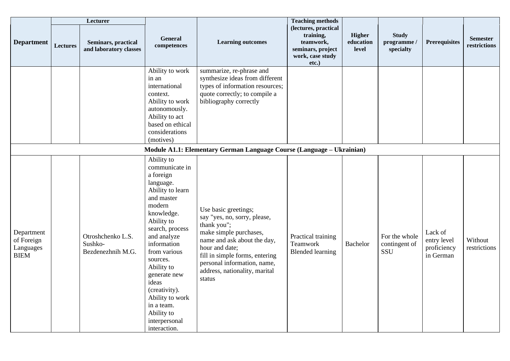|                                                      |          | Lecturer                                          |                                                                                                                                                                                                                                                                                                                                                     |                                                                                                                                                                                                                                                            | <b>Teaching methods</b>                                                                             |                                     |                                        |                                                    |                                 |
|------------------------------------------------------|----------|---------------------------------------------------|-----------------------------------------------------------------------------------------------------------------------------------------------------------------------------------------------------------------------------------------------------------------------------------------------------------------------------------------------------|------------------------------------------------------------------------------------------------------------------------------------------------------------------------------------------------------------------------------------------------------------|-----------------------------------------------------------------------------------------------------|-------------------------------------|----------------------------------------|----------------------------------------------------|---------------------------------|
| <b>Department</b>                                    | Lectures | Seminars, practical<br>and laboratory classes     | General<br>competences                                                                                                                                                                                                                                                                                                                              | <b>Learning outcomes</b>                                                                                                                                                                                                                                   | (lectures, practical<br>training,<br>teamwork,<br>seminars, project<br>work, case study<br>$etc.$ ) | <b>Higher</b><br>education<br>level | <b>Study</b><br>programme<br>specialty | <b>Prerequisites</b>                               | <b>Semester</b><br>restrictions |
|                                                      |          |                                                   | Ability to work<br>in an<br>international<br>context.<br>Ability to work<br>autonomously.<br>Ability to act<br>based on ethical<br>considerations<br>(motives)                                                                                                                                                                                      | summarize, re-phrase and<br>synthesize ideas from different<br>types of information resources;<br>quote correctly; to compile a<br>bibliography correctly                                                                                                  |                                                                                                     |                                     |                                        |                                                    |                                 |
|                                                      |          |                                                   |                                                                                                                                                                                                                                                                                                                                                     | Module A1.1: Elementary German Language Course (Language – Ukrainian)                                                                                                                                                                                      |                                                                                                     |                                     |                                        |                                                    |                                 |
| Department<br>of Foreign<br>Languages<br><b>BIEM</b> |          | Otroshchenko L.S.<br>Sushko-<br>Bezdenezhnih M.G. | Ability to<br>communicate in<br>a foreign<br>language.<br>Ability to learn<br>and master<br>modern<br>knowledge.<br>Ability to<br>search, process<br>and analyze<br>information<br>from various<br>sources.<br>Ability to<br>generate new<br>ideas<br>(creativity).<br>Ability to work<br>in a team.<br>Ability to<br>interpersonal<br>interaction. | Use basic greetings;<br>say "yes, no, sorry, please,<br>thank you";<br>make simple purchases,<br>name and ask about the day,<br>hour and date;<br>fill in simple forms, entering<br>personal information, name,<br>address, nationality, marital<br>status | Practical training<br>Teamwork<br><b>Blended learning</b>                                           | Bachelor                            | For the whole<br>contingent of<br>SSU  | Lack of<br>entry level<br>proficiency<br>in German | Without<br>restrictions         |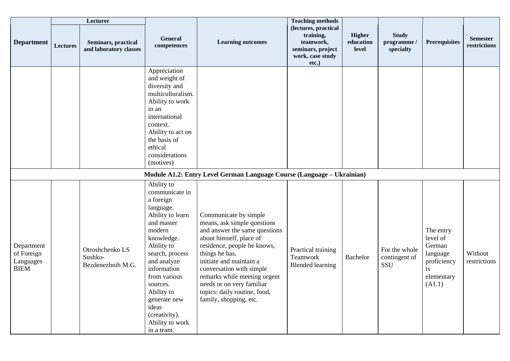|                                                      |          | Lecturer                                        |                                                                                                                                                                                                                                                                                                      |                                                                                                                                                                                                                                                                                                                                                 | <b>Teaching methods</b>                                                                          |                                     |                                        |                                                                                          |                                 |
|------------------------------------------------------|----------|-------------------------------------------------|------------------------------------------------------------------------------------------------------------------------------------------------------------------------------------------------------------------------------------------------------------------------------------------------------|-------------------------------------------------------------------------------------------------------------------------------------------------------------------------------------------------------------------------------------------------------------------------------------------------------------------------------------------------|--------------------------------------------------------------------------------------------------|-------------------------------------|----------------------------------------|------------------------------------------------------------------------------------------|---------------------------------|
| <b>Department</b>                                    | Lectures | Seminars, practical<br>and laboratory classes   | General<br>competences                                                                                                                                                                                                                                                                               | <b>Learning outcomes</b>                                                                                                                                                                                                                                                                                                                        | (lectures, practical<br>training,<br>teamwork,<br>seminars, project<br>work, case study<br>etc.) | <b>Higher</b><br>education<br>level | <b>Study</b><br>programme<br>specialty | <b>Prerequisites</b>                                                                     | <b>Semester</b><br>restrictions |
|                                                      |          |                                                 | Appreciation<br>and weight of<br>diversity and<br>multiculturalism.<br>Ability to work<br>in an<br>international<br>context.<br>Ability to act on<br>the basis of<br>ethical<br>considerations<br>(motives)                                                                                          |                                                                                                                                                                                                                                                                                                                                                 |                                                                                                  |                                     |                                        |                                                                                          |                                 |
|                                                      |          |                                                 |                                                                                                                                                                                                                                                                                                      | Module A1.2: Entry Level German Language Course (Language - Ukrainian)                                                                                                                                                                                                                                                                          |                                                                                                  |                                     |                                        |                                                                                          |                                 |
| Department<br>of Foreign<br>Languages<br><b>BIEM</b> |          | Otroshchenko LS<br>Sushko-<br>Bezdenezhnih M.G. | Ability to<br>communicate in<br>a foreign<br>language.<br>Ability to learn<br>and master<br>modern<br>knowledge.<br>Ability to<br>search, process<br>and analyze<br>information<br>from various<br>sources.<br>Ability to<br>generate new<br>ideas<br>(creativity).<br>Ability to work<br>in a team. | Communicate by simple<br>means, ask simple questions<br>and answer the same questions<br>about himself, place of<br>residence, people he knows,<br>things he has,<br>initiate and maintain a<br>conversation with simple<br>remarks while meeting urgent<br>needs or on very familiar<br>topics: daily routine, food,<br>family, shopping, etc. | Practical training<br>Teamwork<br><b>Blended learning</b>                                        | Bachelor                            | For the whole<br>contingent of<br>SSU  | The entry<br>level of<br>German<br>language<br>proficiency<br>is<br>elementary<br>(A1.1) | Without<br>restrictions         |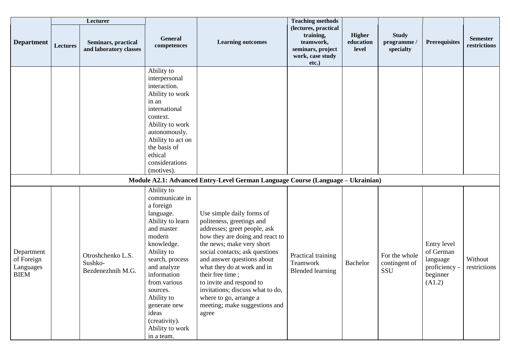|                                                      |          | Lecturer                                          |                                                                                                                                                                                                                                                                                                      |                                                                                                                                                                                                                                                                                                                                                                                                               | <b>Teaching methods</b>                                                                          |                                     |                                        |                                                                             |                                 |
|------------------------------------------------------|----------|---------------------------------------------------|------------------------------------------------------------------------------------------------------------------------------------------------------------------------------------------------------------------------------------------------------------------------------------------------------|---------------------------------------------------------------------------------------------------------------------------------------------------------------------------------------------------------------------------------------------------------------------------------------------------------------------------------------------------------------------------------------------------------------|--------------------------------------------------------------------------------------------------|-------------------------------------|----------------------------------------|-----------------------------------------------------------------------------|---------------------------------|
| <b>Department</b>                                    | Lectures | Seminars, practical<br>and laboratory classes     | General<br>competences                                                                                                                                                                                                                                                                               | <b>Learning outcomes</b>                                                                                                                                                                                                                                                                                                                                                                                      | (lectures, practical<br>training,<br>teamwork,<br>seminars, project<br>work, case study<br>etc.) | <b>Higher</b><br>education<br>level | <b>Study</b><br>programme<br>specialty | <b>Prerequisites</b>                                                        | <b>Semester</b><br>restrictions |
|                                                      |          |                                                   | Ability to<br>interpersonal<br>interaction.<br>Ability to work<br>in an<br>international<br>context.<br>Ability to work<br>autonomously.<br>Ability to act on<br>the basis of<br>ethical<br>considerations<br>(motives).                                                                             |                                                                                                                                                                                                                                                                                                                                                                                                               |                                                                                                  |                                     |                                        |                                                                             |                                 |
|                                                      |          |                                                   |                                                                                                                                                                                                                                                                                                      | Module A2.1: Advanced Entry-Level German Language Course (Language - Ukrainian)                                                                                                                                                                                                                                                                                                                               |                                                                                                  |                                     |                                        |                                                                             |                                 |
| Department<br>of Foreign<br>Languages<br><b>BIEM</b> |          | Otroshchenko L.S.<br>Sushko-<br>Bezdenezhnih M.G. | Ability to<br>communicate in<br>a foreign<br>language.<br>Ability to learn<br>and master<br>modern<br>knowledge.<br>Ability to<br>search, process<br>and analyze<br>information<br>from various<br>sources.<br>Ability to<br>generate new<br>ideas<br>(creativity).<br>Ability to work<br>in a team. | Use simple daily forms of<br>politeness, greetings and<br>addresses; greet people, ask<br>how they are doing and react to<br>the news; make very short<br>social contacts; ask questions<br>and answer questions about<br>what they do at work and in<br>their free time;<br>to invite and respond to<br>invitations; discuss what to do,<br>where to go, arrange a<br>meeting; make suggestions and<br>agree | Practical training<br>Teamwork<br><b>Blended learning</b>                                        | Bachelor                            | For the whole<br>contingent of<br>SSU  | Entry level<br>of German<br>language<br>proficiency -<br>beginner<br>(A1.2) | Without<br>restrictions         |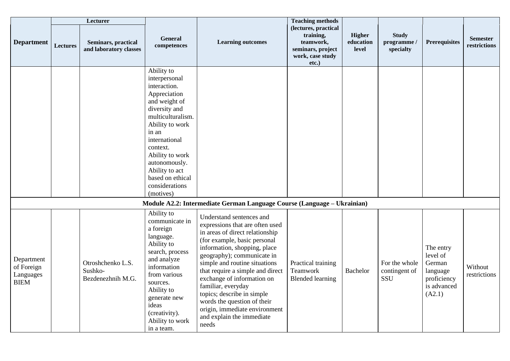|                                                      |                 | Lecturer                                          |                                                                                                                                                                                                                                                                                      |                                                                                                                                                                                                                                                                                                                                                                                                                                                           | <b>Teaching methods</b>                                                                             |                                     |                                        |                                                                                     |                                 |
|------------------------------------------------------|-----------------|---------------------------------------------------|--------------------------------------------------------------------------------------------------------------------------------------------------------------------------------------------------------------------------------------------------------------------------------------|-----------------------------------------------------------------------------------------------------------------------------------------------------------------------------------------------------------------------------------------------------------------------------------------------------------------------------------------------------------------------------------------------------------------------------------------------------------|-----------------------------------------------------------------------------------------------------|-------------------------------------|----------------------------------------|-------------------------------------------------------------------------------------|---------------------------------|
| <b>Department</b>                                    | <b>Lectures</b> | Seminars, practical<br>and laboratory classes     | General<br>competences                                                                                                                                                                                                                                                               | <b>Learning outcomes</b>                                                                                                                                                                                                                                                                                                                                                                                                                                  | (lectures, practical<br>training,<br>teamwork,<br>seminars, project<br>work, case study<br>$etc.$ ) | <b>Higher</b><br>education<br>level | <b>Study</b><br>programme<br>specialty | <b>Prerequisites</b>                                                                | <b>Semester</b><br>restrictions |
|                                                      |                 |                                                   | Ability to<br>interpersonal<br>interaction.<br>Appreciation<br>and weight of<br>diversity and<br>multiculturalism.<br>Ability to work<br>in an<br>international<br>context.<br>Ability to work<br>autonomously.<br>Ability to act<br>based on ethical<br>considerations<br>(motives) |                                                                                                                                                                                                                                                                                                                                                                                                                                                           |                                                                                                     |                                     |                                        |                                                                                     |                                 |
|                                                      |                 |                                                   |                                                                                                                                                                                                                                                                                      | Module A2.2: Intermediate German Language Course (Language - Ukrainian)                                                                                                                                                                                                                                                                                                                                                                                   |                                                                                                     |                                     |                                        |                                                                                     |                                 |
| Department<br>of Foreign<br>Languages<br><b>BIEM</b> |                 | Otroshchenko L.S.<br>Sushko-<br>Bezdenezhnih M.G. | Ability to<br>communicate in<br>a foreign<br>language.<br>Ability to<br>search, process<br>and analyze<br>information<br>from various<br>sources.<br>Ability to<br>generate new<br>ideas<br>(creativity).<br>Ability to work<br>in a team.                                           | Understand sentences and<br>expressions that are often used<br>in areas of direct relationship<br>(for example, basic personal<br>information, shopping, place<br>geography); communicate in<br>simple and routine situations<br>that require a simple and direct<br>exchange of information on<br>familiar, everyday<br>topics; describe in simple<br>words the question of their<br>origin, immediate environment<br>and explain the immediate<br>needs | Practical training<br>Teamwork<br><b>Blended learning</b>                                           | Bachelor                            | For the whole<br>contingent of<br>SSU  | The entry<br>level of<br>German<br>language<br>proficiency<br>is advanced<br>(A2.1) | Without<br>restrictions         |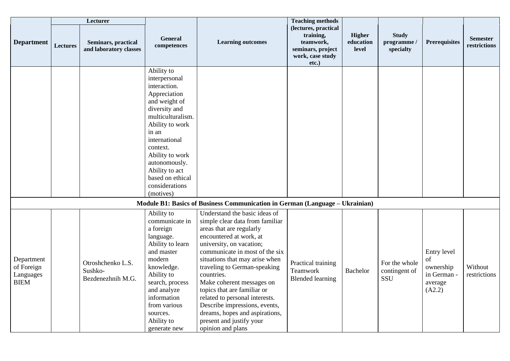|                                                      |                 | Lecturer                                          |                                                                                                                                                                                                                                                                                      |                                                                                                                                                                                                                                                                                                                                                                                                                                                                                         | <b>Teaching methods</b>                                                                          |                                     |                                              |                                                                    |                                 |
|------------------------------------------------------|-----------------|---------------------------------------------------|--------------------------------------------------------------------------------------------------------------------------------------------------------------------------------------------------------------------------------------------------------------------------------------|-----------------------------------------------------------------------------------------------------------------------------------------------------------------------------------------------------------------------------------------------------------------------------------------------------------------------------------------------------------------------------------------------------------------------------------------------------------------------------------------|--------------------------------------------------------------------------------------------------|-------------------------------------|----------------------------------------------|--------------------------------------------------------------------|---------------------------------|
| <b>Department</b>                                    | <b>Lectures</b> | Seminars, practical<br>and laboratory classes     | General<br>competences                                                                                                                                                                                                                                                               | <b>Learning outcomes</b>                                                                                                                                                                                                                                                                                                                                                                                                                                                                | (lectures, practical<br>training,<br>teamwork,<br>seminars, project<br>work, case study<br>etc.) | <b>Higher</b><br>education<br>level | <b>Study</b><br>programme<br>specialty       | <b>Prerequisites</b>                                               | <b>Semester</b><br>restrictions |
|                                                      |                 |                                                   | Ability to<br>interpersonal<br>interaction.<br>Appreciation<br>and weight of<br>diversity and<br>multiculturalism.<br>Ability to work<br>in an<br>international<br>context.<br>Ability to work<br>autonomously.<br>Ability to act<br>based on ethical<br>considerations<br>(motives) |                                                                                                                                                                                                                                                                                                                                                                                                                                                                                         |                                                                                                  |                                     |                                              |                                                                    |                                 |
|                                                      |                 |                                                   |                                                                                                                                                                                                                                                                                      | Module B1: Basics of Business Communication in German (Language – Ukrainian)                                                                                                                                                                                                                                                                                                                                                                                                            |                                                                                                  |                                     |                                              |                                                                    |                                 |
| Department<br>of Foreign<br>Languages<br><b>BIEM</b> |                 | Otroshchenko L.S.<br>Sushko-<br>Bezdenezhnih M.G. | Ability to<br>communicate in<br>a foreign<br>language.<br>Ability to learn<br>and master<br>modern<br>knowledge.<br>Ability to<br>search, process<br>and analyze<br>information<br>from various<br>sources.<br>Ability to<br>generate new                                            | Understand the basic ideas of<br>simple clear data from familiar<br>areas that are regularly<br>encountered at work, at<br>university, on vacation;<br>communicate in most of the six<br>situations that may arise when<br>traveling to German-speaking<br>countries.<br>Make coherent messages on<br>topics that are familiar or<br>related to personal interests.<br>Describe impressions, events,<br>dreams, hopes and aspirations,<br>present and justify your<br>opinion and plans | Practical training<br>Teamwork<br><b>Blended learning</b>                                        | <b>Bachelor</b>                     | For the whole<br>contingent of<br><b>SSU</b> | Entry level<br>of<br>ownership<br>in German -<br>average<br>(A2.2) | Without<br>restrictions         |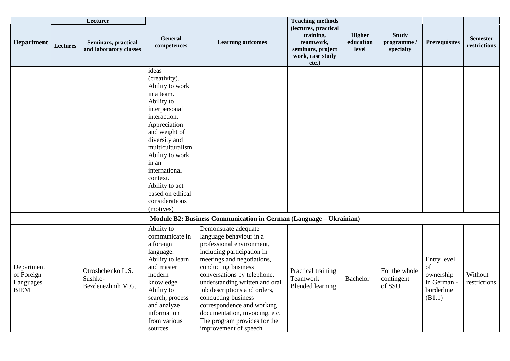|                                                      |                 | Lecturer                                          |                                                                                                                                                                                                                                                                                                             |                                                                                                                                                                                                                                                                                                                                                                                                                  | <b>Teaching methods</b>                                                                          |                                     |                                        |                                                                       |                                 |
|------------------------------------------------------|-----------------|---------------------------------------------------|-------------------------------------------------------------------------------------------------------------------------------------------------------------------------------------------------------------------------------------------------------------------------------------------------------------|------------------------------------------------------------------------------------------------------------------------------------------------------------------------------------------------------------------------------------------------------------------------------------------------------------------------------------------------------------------------------------------------------------------|--------------------------------------------------------------------------------------------------|-------------------------------------|----------------------------------------|-----------------------------------------------------------------------|---------------------------------|
| <b>Department</b>                                    | <b>Lectures</b> | Seminars, practical<br>and laboratory classes     | General<br>competences                                                                                                                                                                                                                                                                                      | <b>Learning outcomes</b>                                                                                                                                                                                                                                                                                                                                                                                         | (lectures, practical<br>training,<br>teamwork,<br>seminars, project<br>work, case study<br>etc.) | <b>Higher</b><br>education<br>level | <b>Study</b><br>programme<br>specialty | <b>Prerequisites</b>                                                  | <b>Semester</b><br>restrictions |
|                                                      |                 |                                                   | ideas<br>(creativity).<br>Ability to work<br>in a team.<br>Ability to<br>interpersonal<br>interaction.<br>Appreciation<br>and weight of<br>diversity and<br>multiculturalism.<br>Ability to work<br>in an<br>international<br>context.<br>Ability to act<br>based on ethical<br>considerations<br>(motives) |                                                                                                                                                                                                                                                                                                                                                                                                                  |                                                                                                  |                                     |                                        |                                                                       |                                 |
|                                                      |                 |                                                   |                                                                                                                                                                                                                                                                                                             | Module B2: Business Communication in German (Language - Ukrainian)                                                                                                                                                                                                                                                                                                                                               |                                                                                                  |                                     |                                        |                                                                       |                                 |
| Department<br>of Foreign<br>Languages<br><b>BIEM</b> |                 | Otroshchenko L.S.<br>Sushko-<br>Bezdenezhnih M.G. | Ability to<br>communicate in<br>a foreign<br>language.<br>Ability to learn<br>and master<br>modern<br>knowledge.<br>Ability to<br>search, process<br>and analyze<br>information<br>from various<br>sources.                                                                                                 | Demonstrate adequate<br>language behaviour in a<br>professional environment,<br>including participation in<br>meetings and negotiations,<br>conducting business<br>conversations by telephone,<br>understanding written and oral<br>job descriptions and orders,<br>conducting business<br>correspondence and working<br>documentation, invoicing, etc.<br>The program provides for the<br>improvement of speech | Practical training<br>Teamwork<br><b>Blended learning</b>                                        | Bachelor                            | For the whole<br>contingent<br>of SSU  | Entry level<br>of<br>ownership<br>in German -<br>borderline<br>(B1.1) | Without<br>restrictions         |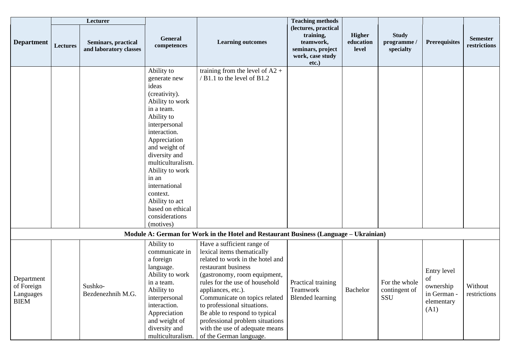|                                                      |          | Lecturer                                      |                                                                                                                                                                                                                                                                                                                                           |                                                                                                                                                                                                                                                                                                                                                                                                              | <b>Teaching methods</b>                                                                          |                                     |                                        |                                                                     |                                 |
|------------------------------------------------------|----------|-----------------------------------------------|-------------------------------------------------------------------------------------------------------------------------------------------------------------------------------------------------------------------------------------------------------------------------------------------------------------------------------------------|--------------------------------------------------------------------------------------------------------------------------------------------------------------------------------------------------------------------------------------------------------------------------------------------------------------------------------------------------------------------------------------------------------------|--------------------------------------------------------------------------------------------------|-------------------------------------|----------------------------------------|---------------------------------------------------------------------|---------------------------------|
| <b>Department</b>                                    | Lectures | Seminars, practical<br>and laboratory classes | General<br>competences                                                                                                                                                                                                                                                                                                                    | <b>Learning outcomes</b>                                                                                                                                                                                                                                                                                                                                                                                     | (lectures, practical<br>training,<br>teamwork,<br>seminars, project<br>work, case study<br>etc.) | <b>Higher</b><br>education<br>level | <b>Study</b><br>programme<br>specialty | <b>Prerequisites</b>                                                | <b>Semester</b><br>restrictions |
|                                                      |          |                                               | Ability to<br>generate new<br>ideas<br>(creativity).<br>Ability to work<br>in a team.<br>Ability to<br>interpersonal<br>interaction.<br>Appreciation<br>and weight of<br>diversity and<br>multiculturalism.<br>Ability to work<br>in an<br>international<br>context.<br>Ability to act<br>based on ethical<br>considerations<br>(motives) | training from the level of $A2 +$<br>/ B1.1 to the level of B1.2                                                                                                                                                                                                                                                                                                                                             |                                                                                                  |                                     |                                        |                                                                     |                                 |
|                                                      |          |                                               |                                                                                                                                                                                                                                                                                                                                           | Module A: German for Work in the Hotel and Restaurant Business (Language – Ukrainian)                                                                                                                                                                                                                                                                                                                        |                                                                                                  |                                     |                                        |                                                                     |                                 |
| Department<br>of Foreign<br>Languages<br><b>BIEM</b> |          | Sushko-<br>Bezdenezhnih M.G.                  | Ability to<br>communicate in<br>a foreign<br>language.<br>Ability to work<br>in a team.<br>Ability to<br>interpersonal<br>interaction.<br>Appreciation<br>and weight of<br>diversity and<br>multiculturalism.                                                                                                                             | Have a sufficient range of<br>lexical items thematically<br>related to work in the hotel and<br>restaurant business<br>(gastronomy, room equipment,<br>rules for the use of household<br>appliances, etc.).<br>Communicate on topics related<br>to professional situations.<br>Be able to respond to typical<br>professional problem situations<br>with the use of adequate means<br>of the German language. | Practical training<br>Teamwork<br><b>Blended learning</b>                                        | Bachelor                            | For the whole<br>contingent of<br>SSU  | Entry level<br>of<br>ownership<br>in German -<br>elementary<br>(A1) | Without<br>restrictions         |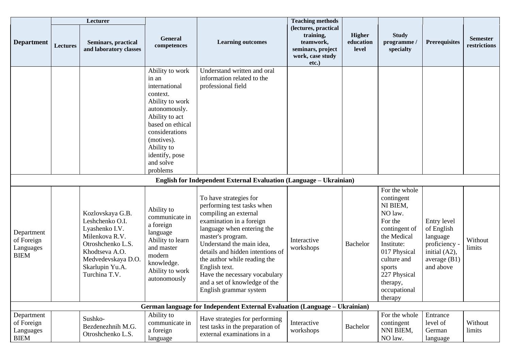|                                                      |                 | Lecturer                                                                                                                                                                 |                                                                                                                                                                                                                          |                                                                                                                                                                                                                                                                                                                                                                            | <b>Teaching methods</b>                                                                             |                                     |                                                                                                                                                                                                             |                                                                                                        |                                 |
|------------------------------------------------------|-----------------|--------------------------------------------------------------------------------------------------------------------------------------------------------------------------|--------------------------------------------------------------------------------------------------------------------------------------------------------------------------------------------------------------------------|----------------------------------------------------------------------------------------------------------------------------------------------------------------------------------------------------------------------------------------------------------------------------------------------------------------------------------------------------------------------------|-----------------------------------------------------------------------------------------------------|-------------------------------------|-------------------------------------------------------------------------------------------------------------------------------------------------------------------------------------------------------------|--------------------------------------------------------------------------------------------------------|---------------------------------|
| <b>Department</b>                                    | <b>Lectures</b> | Seminars, practical<br>and laboratory classes                                                                                                                            | <b>General</b><br>competences                                                                                                                                                                                            | <b>Learning outcomes</b>                                                                                                                                                                                                                                                                                                                                                   | (lectures, practical<br>training,<br>teamwork,<br>seminars, project<br>work, case study<br>$etc.$ ) | <b>Higher</b><br>education<br>level | <b>Study</b><br>programme<br>specialty                                                                                                                                                                      | <b>Prerequisites</b>                                                                                   | <b>Semester</b><br>restrictions |
|                                                      |                 |                                                                                                                                                                          | Ability to work<br>in an<br>international<br>context.<br>Ability to work<br>autonomously.<br>Ability to act<br>based on ethical<br>considerations<br>(motives).<br>Ability to<br>identify, pose<br>and solve<br>problems | Understand written and oral<br>information related to the<br>professional field                                                                                                                                                                                                                                                                                            |                                                                                                     |                                     |                                                                                                                                                                                                             |                                                                                                        |                                 |
|                                                      |                 |                                                                                                                                                                          |                                                                                                                                                                                                                          | English for Independent External Evaluation (Language - Ukrainian)                                                                                                                                                                                                                                                                                                         |                                                                                                     |                                     |                                                                                                                                                                                                             |                                                                                                        |                                 |
| Department<br>of Foreign<br>Languages<br><b>BIEM</b> |                 | Kozlovskaya G.B.<br>Leshchenko O.I.<br>Lyashenko I.V.<br>Milenkova R.V.<br>Otroshchenko L.S.<br>Khodtseva A.O.<br>Medvedevskaya D.O.<br>Skarlupin Yu.A.<br>Turchina T.V. | Ability to<br>communicate in<br>a foreign<br>language<br>Ability to learn<br>and master<br>modern<br>knowledge.<br>Ability to work<br>autonomously                                                                       | To have strategies for<br>performing test tasks when<br>compiling an external<br>examination in a foreign<br>language when entering the<br>master's program.<br>Understand the main idea,<br>details and hidden intentions of<br>the author while reading the<br>English text.<br>Have the necessary vocabulary<br>and a set of knowledge of the<br>English grammar system | Interactive<br>workshops                                                                            | <b>Bachelor</b>                     | For the whole<br>contingent<br>NI BIEM,<br>NO law.<br>For the<br>contingent of<br>the Medical<br>Institute:<br>017 Physical<br>culture and<br>sports<br>227 Physical<br>therapy,<br>occupational<br>therapy | Entry level<br>of English<br>language<br>proficiency -<br>initial (A2),<br>average $(B1)$<br>and above | Without<br>limits               |
|                                                      |                 |                                                                                                                                                                          |                                                                                                                                                                                                                          | German language for Independent External Evaluation (Language – Ukrainian)                                                                                                                                                                                                                                                                                                 |                                                                                                     |                                     |                                                                                                                                                                                                             |                                                                                                        |                                 |
| Department<br>of Foreign<br>Languages<br><b>BIEM</b> |                 | Sushko-<br>Bezdenezhnih M.G.<br>Otroshchenko L.S.                                                                                                                        | Ability to<br>communicate in<br>a foreign<br>language                                                                                                                                                                    | Have strategies for performing<br>test tasks in the preparation of<br>external examinations in a                                                                                                                                                                                                                                                                           | Interactive<br>workshops                                                                            | Bachelor                            | For the whole<br>contingent<br>NNI BIEM,<br>NO law.                                                                                                                                                         | Entrance<br>level of<br>German<br>language                                                             | Without<br>limits               |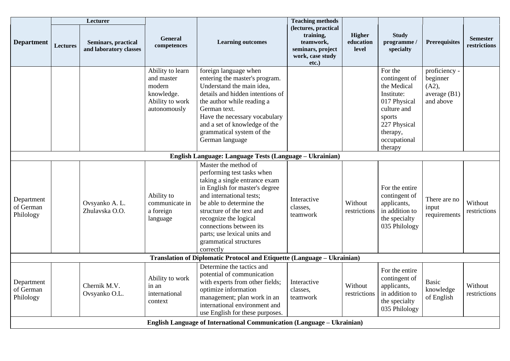|                                      |                                                                               | Lecturer                                      |                                                                                           |                                                                                                                                                                                                                                                                                                                                       | <b>Teaching methods</b>                                                                             |                                     |                                                                                                                                                       |                                                                   |                                 |
|--------------------------------------|-------------------------------------------------------------------------------|-----------------------------------------------|-------------------------------------------------------------------------------------------|---------------------------------------------------------------------------------------------------------------------------------------------------------------------------------------------------------------------------------------------------------------------------------------------------------------------------------------|-----------------------------------------------------------------------------------------------------|-------------------------------------|-------------------------------------------------------------------------------------------------------------------------------------------------------|-------------------------------------------------------------------|---------------------------------|
| <b>Department</b>                    | <b>Lectures</b>                                                               | Seminars, practical<br>and laboratory classes | General<br>competences                                                                    | <b>Learning outcomes</b>                                                                                                                                                                                                                                                                                                              | (lectures, practical<br>training,<br>teamwork,<br>seminars, project<br>work, case study<br>$etc.$ ) | <b>Higher</b><br>education<br>level | <b>Study</b><br>programme/<br>specialty                                                                                                               | <b>Prerequisites</b>                                              | <b>Semester</b><br>restrictions |
|                                      |                                                                               |                                               | Ability to learn<br>and master<br>modern<br>knowledge.<br>Ability to work<br>autonomously | foreign language when<br>entering the master's program.<br>Understand the main idea,<br>details and hidden intentions of<br>the author while reading a<br>German text.<br>Have the necessary vocabulary<br>and a set of knowledge of the<br>grammatical system of the<br>German language                                              |                                                                                                     |                                     | For the<br>contingent of<br>the Medical<br>Institute:<br>017 Physical<br>culture and<br>sports<br>227 Physical<br>therapy,<br>occupational<br>therapy | proficiency -<br>beginner<br>(A2),<br>average $(B1)$<br>and above |                                 |
|                                      |                                                                               |                                               |                                                                                           | English Language: Language Tests (Language - Ukrainian)                                                                                                                                                                                                                                                                               |                                                                                                     |                                     |                                                                                                                                                       |                                                                   |                                 |
| Department<br>of German<br>Philology |                                                                               | Ovsyanko A. L.<br>Zhulavska O.O.              | Ability to<br>communicate in<br>a foreign<br>language                                     | Master the method of<br>performing test tasks when<br>taking a single entrance exam<br>in English for master's degree<br>and international tests;<br>be able to determine the<br>structure of the text and<br>recognize the logical<br>connections between its<br>parts; use lexical units and<br>grammatical structures<br>correctly | Interactive<br>classes,<br>teamwork                                                                 | Without<br>restrictions             | For the entire<br>contingent of<br>applicants,<br>in addition to<br>the specialty<br>035 Philology                                                    | There are no<br>input<br>requirements                             | Without<br>restrictions         |
|                                      |                                                                               |                                               |                                                                                           | Translation of Diplomatic Protocol and Etiquette (Language - Ukrainian)                                                                                                                                                                                                                                                               |                                                                                                     |                                     |                                                                                                                                                       |                                                                   |                                 |
| Department<br>of German<br>Philology |                                                                               | Chernik M.V.<br>Ovsyanko O.L.                 | Ability to work<br>in an<br>international<br>context                                      | Determine the tactics and<br>potential of communication<br>with experts from other fields;<br>optimize information<br>management; plan work in an<br>international environment and<br>use English for these purposes.                                                                                                                 | Interactive<br>classes,<br>teamwork                                                                 | Without<br>restrictions             | For the entire<br>contingent of<br>applicants,<br>in addition to<br>the specialty<br>035 Philology                                                    | <b>Basic</b><br>knowledge<br>of English                           | Without<br>restrictions         |
|                                      | <b>English Language of International Communication (Language - Ukrainian)</b> |                                               |                                                                                           |                                                                                                                                                                                                                                                                                                                                       |                                                                                                     |                                     |                                                                                                                                                       |                                                                   |                                 |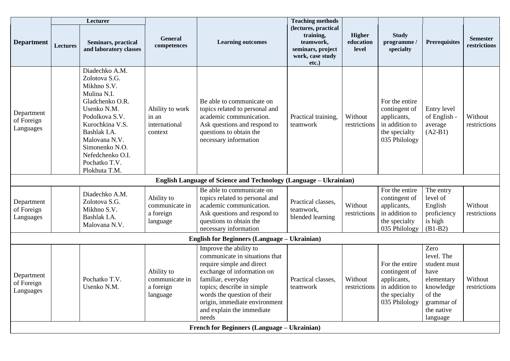|                                             | <b>Lecturer</b> |                                                                                                                                                                                                                                               |                                                       |                                                                                                                                                                                                                                                                               | <b>Teaching methods</b>                                                                             |                                     |                                                                                                    |                                                                                                                         |                                 |
|---------------------------------------------|-----------------|-----------------------------------------------------------------------------------------------------------------------------------------------------------------------------------------------------------------------------------------------|-------------------------------------------------------|-------------------------------------------------------------------------------------------------------------------------------------------------------------------------------------------------------------------------------------------------------------------------------|-----------------------------------------------------------------------------------------------------|-------------------------------------|----------------------------------------------------------------------------------------------------|-------------------------------------------------------------------------------------------------------------------------|---------------------------------|
| <b>Department</b>                           | <b>Lectures</b> | Seminars, practical<br>and laboratory classes                                                                                                                                                                                                 | <b>General</b><br>competences                         | <b>Learning outcomes</b>                                                                                                                                                                                                                                                      | (lectures, practical<br>training,<br>teamwork,<br>seminars, project<br>work, case study<br>$etc.$ ) | <b>Higher</b><br>education<br>level | <b>Study</b><br>programme<br>specialty                                                             | <b>Prerequisites</b>                                                                                                    | <b>Semester</b><br>restrictions |
| Department<br>of Foreign<br>Languages       |                 | Diadechko A.M.<br>Zolotova S.G.<br>Mikhno S.V.<br>Mulina N.I.<br>Gladchenko O.R.<br>Usenko N.M.<br>Podolkova S.V.<br>Kurochkina V.S.<br>Bashlak I.A.<br>Malovana N.V.<br>Simonenko N.O.<br>Nefedchenko O.I.<br>Pochatko T.V.<br>Plokhuta T.M. | Ability to work<br>in an<br>international<br>context  | Be able to communicate on<br>topics related to personal and<br>academic communication.<br>Ask questions and respond to<br>questions to obtain the<br>necessary information                                                                                                    | Practical training,<br>teamwork                                                                     | Without<br>restrictions             | For the entire<br>contingent of<br>applicants,<br>in addition to<br>the specialty<br>035 Philology | Entry level<br>of English -<br>average<br>$(A2-B1)$                                                                     | Without<br>restrictions         |
|                                             |                 |                                                                                                                                                                                                                                               |                                                       | <b>English Language of Science and Technology (Language - Ukrainian)</b>                                                                                                                                                                                                      |                                                                                                     |                                     |                                                                                                    |                                                                                                                         |                                 |
| Department<br>of Foreign<br>Languages       |                 | Diadechko A.M.<br>Zolotova S.G.<br>Mikhno S.V.<br>Bashlak I.A.<br>Malovana N.V.                                                                                                                                                               | Ability to<br>communicate in<br>a foreign<br>language | Be able to communicate on<br>topics related to personal and<br>academic communication.<br>Ask questions and respond to<br>questions to obtain the<br>necessary information                                                                                                    | Practical classes.<br>teamwork,<br>blended learning                                                 | Without<br>restrictions             | For the entire<br>contingent of<br>applicants,<br>in addition to<br>the specialty<br>035 Philology | The entry<br>level of<br>English<br>proficiency<br>is high<br>$(B1-B2)$                                                 | Without<br>restrictions         |
|                                             |                 |                                                                                                                                                                                                                                               |                                                       | <b>English for Beginners (Language - Ukrainian)</b>                                                                                                                                                                                                                           |                                                                                                     |                                     |                                                                                                    |                                                                                                                         |                                 |
| Department<br>of Foreign<br>Languages       |                 | Pochatko T.V.<br>Usenko N.M.                                                                                                                                                                                                                  | Ability to<br>communicate in<br>a foreign<br>language | Improve the ability to<br>communicate in situations that<br>require simple and direct<br>exchange of information on<br>familiar, everyday<br>topics; describe in simple<br>words the question of their<br>origin, immediate environment<br>and explain the immediate<br>needs | Practical classes.<br>teamwork                                                                      | Without<br>restrictions             | For the entire<br>contingent of<br>applicants,<br>in addition to<br>the specialty<br>035 Philology | Zero<br>level. The<br>student must<br>have<br>elementary<br>knowledge<br>of the<br>grammar of<br>the native<br>language | Without<br>restrictions         |
| French for Beginners (Language - Ukrainian) |                 |                                                                                                                                                                                                                                               |                                                       |                                                                                                                                                                                                                                                                               |                                                                                                     |                                     |                                                                                                    |                                                                                                                         |                                 |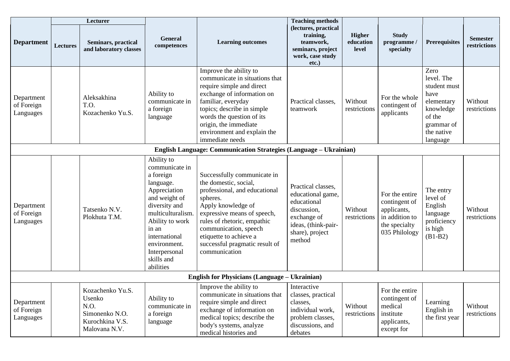|                                                                          | Lecturer        |                                                                                          |                                                                                                                                                                                                                                        |                                                                                                                                                                                                                                                                                             | <b>Teaching methods</b>                                                                                                                  |                              |                                                                                                    |                                                                                                                         |                                 |
|--------------------------------------------------------------------------|-----------------|------------------------------------------------------------------------------------------|----------------------------------------------------------------------------------------------------------------------------------------------------------------------------------------------------------------------------------------|---------------------------------------------------------------------------------------------------------------------------------------------------------------------------------------------------------------------------------------------------------------------------------------------|------------------------------------------------------------------------------------------------------------------------------------------|------------------------------|----------------------------------------------------------------------------------------------------|-------------------------------------------------------------------------------------------------------------------------|---------------------------------|
| <b>Department</b>                                                        | <b>Lectures</b> | Seminars, practical<br>and laboratory classes                                            | <b>General</b><br>competences                                                                                                                                                                                                          | <b>Learning outcomes</b>                                                                                                                                                                                                                                                                    | (lectures, practical<br>training,<br>teamwork,<br>seminars, project<br>work, case study<br>etc.)                                         | Higher<br>education<br>level | <b>Study</b><br>programme<br>specialty                                                             | <b>Prerequisites</b>                                                                                                    | <b>Semester</b><br>restrictions |
| Department<br>of Foreign<br>Languages                                    |                 | Aleksakhina<br>T.O.<br>Kozachenko Yu.S.                                                  | Ability to<br>communicate in<br>a foreign<br>language                                                                                                                                                                                  | Improve the ability to<br>communicate in situations that<br>require simple and direct<br>exchange of information on<br>familiar, everyday<br>topics; describe in simple<br>words the question of its<br>origin, the immediate<br>environment and explain the<br>immediate needs             | Practical classes,<br>teamwork                                                                                                           | Without<br>restrictions      | For the whole<br>contingent of<br>applicants                                                       | Zero<br>level. The<br>student must<br>have<br>elementary<br>knowledge<br>of the<br>grammar of<br>the native<br>language | Without<br>restrictions         |
| <b>English Language: Communication Strategies (Language – Ukrainian)</b> |                 |                                                                                          |                                                                                                                                                                                                                                        |                                                                                                                                                                                                                                                                                             |                                                                                                                                          |                              |                                                                                                    |                                                                                                                         |                                 |
| Department<br>of Foreign<br>Languages                                    |                 | Tatsenko N.V.<br>Plokhuta T.M.                                                           | Ability to<br>communicate in<br>a foreign<br>language.<br>Appreciation<br>and weight of<br>diversity and<br>multiculturalism.<br>Ability to work<br>in an<br>international<br>environment.<br>Interpersonal<br>skills and<br>abilities | Successfully communicate in<br>the domestic, social,<br>professional, and educational<br>spheres.<br>Apply knowledge of<br>expressive means of speech,<br>rules of rhetoric, empathic<br>communication, speech<br>etiquette to achieve a<br>successful pragmatic result of<br>communication | Practical classes,<br>educational game,<br>educational<br>discussion,<br>exchange of<br>ideas, (think-pair-<br>share), project<br>method | Without<br>restrictions      | For the entire<br>contingent of<br>applicants,<br>in addition to<br>the specialty<br>035 Philology | The entry<br>level of<br>English<br>language<br>proficiency<br>is high<br>$(B1-B2)$                                     | Without<br>restrictions         |
|                                                                          |                 |                                                                                          |                                                                                                                                                                                                                                        | <b>English for Physicians (Language - Ukrainian)</b>                                                                                                                                                                                                                                        |                                                                                                                                          |                              |                                                                                                    |                                                                                                                         |                                 |
| Department<br>of Foreign<br>Languages                                    |                 | Kozachenko Yu.S.<br>Usenko<br>N.O.<br>Simonenko N.O.<br>Kurochkina V.S.<br>Malovana N.V. | Ability to<br>communicate in<br>a foreign<br>language                                                                                                                                                                                  | Improve the ability to<br>communicate in situations that<br>require simple and direct<br>exchange of information on<br>medical topics; describe the<br>body's systems, analyze<br>medical histories and                                                                                     | Interactive<br>classes, practical<br>classes,<br>individual work,<br>problem classes,<br>discussions, and<br>debates                     | Without<br>restrictions      | For the entire<br>contingent of<br>medical<br>institute<br>applicants,<br>except for               | Learning<br>English in<br>the first year                                                                                | Without<br>restrictions         |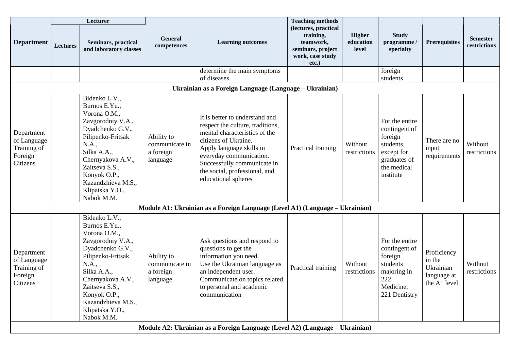|                                                                 | <b>Lecturer</b>                                        |                                                                                                                                                                                                                                                    |                                                       |                                                                                                                                                                                                                                                                           | <b>Teaching methods</b>                                                                             |                                     |                                                                                                                   |                                                                   |                                 |  |
|-----------------------------------------------------------------|--------------------------------------------------------|----------------------------------------------------------------------------------------------------------------------------------------------------------------------------------------------------------------------------------------------------|-------------------------------------------------------|---------------------------------------------------------------------------------------------------------------------------------------------------------------------------------------------------------------------------------------------------------------------------|-----------------------------------------------------------------------------------------------------|-------------------------------------|-------------------------------------------------------------------------------------------------------------------|-------------------------------------------------------------------|---------------------------------|--|
| <b>Department</b>                                               | Lectures                                               | <b>Seminars, practical</b><br>and laboratory classes                                                                                                                                                                                               | <b>General</b><br>competences                         | <b>Learning outcomes</b>                                                                                                                                                                                                                                                  | (lectures, practical<br>training,<br>teamwork,<br>seminars, project<br>work, case study<br>$etc.$ ) | <b>Higher</b><br>education<br>level | <b>Study</b><br>programme<br>specialty                                                                            | <b>Prerequisites</b>                                              | <b>Semester</b><br>restrictions |  |
|                                                                 |                                                        |                                                                                                                                                                                                                                                    |                                                       | determine the main symptoms<br>of diseases                                                                                                                                                                                                                                |                                                                                                     |                                     | foreign<br>students                                                                                               |                                                                   |                                 |  |
|                                                                 | Ukrainian as a Foreign Language (Language - Ukrainian) |                                                                                                                                                                                                                                                    |                                                       |                                                                                                                                                                                                                                                                           |                                                                                                     |                                     |                                                                                                                   |                                                                   |                                 |  |
| Department<br>of Language<br>Training of<br>Foreign<br>Citizens |                                                        | Bidenko L.V.,<br>Burnos E.Yu.,<br>Vorona O.M.,<br>Zavgorodniy V.A.,<br>Dyadchenko G.V.,<br>Pilipenko-Fritsak<br>N.A.,<br>Silka A.A.,<br>Chernyakova A.V.,<br>Zaitseva S.S.,<br>Konyok O.P.,<br>Kazandzhieva M.S.,<br>Klipatska Y.O.,<br>Nabok M.M. | Ability to<br>communicate in<br>a foreign<br>language | It is better to understand and<br>respect the culture, traditions,<br>mental characteristics of the<br>citizens of Ukraine.<br>Apply language skills in<br>everyday communication.<br>Successfully communicate in<br>the social, professional, and<br>educational spheres | Practical training                                                                                  | Without<br>restrictions             | For the entire<br>contingent of<br>foreign<br>students,<br>except for<br>graduates of<br>the medical<br>institute | There are no<br>input<br>requirements                             | Without<br>restrictions         |  |
|                                                                 |                                                        |                                                                                                                                                                                                                                                    |                                                       | Module A1: Ukrainian as a Foreign Language (Level A1) (Language – Ukrainian)                                                                                                                                                                                              |                                                                                                     |                                     |                                                                                                                   |                                                                   |                                 |  |
| Department<br>of Language<br>Training of<br>Foreign<br>Citizens |                                                        | Bidenko L.V.,<br>Burnos E.Yu.,<br>Vorona O.M.,<br>Zavgorodniy V.A.,<br>Dyadchenko G.V.,<br>Pilipenko-Fritsak<br>N.A.,<br>Silka A.A.,<br>Chernyakova A.V.,<br>Zaitseva S.S.<br>Konyok O.P.,<br>Kazandzhieva M.S.,<br>Klipatska Y.O.,<br>Nabok M.M.  | Ability to<br>communicate in<br>a foreign<br>language | Ask questions and respond to<br>questions to get the<br>information you need.<br>Use the Ukrainian language as<br>an independent user.<br>Communicate on topics related<br>to personal and academic<br>communication                                                      | Practical training                                                                                  | Without<br>restrictions             | For the entire<br>contingent of<br>foreign<br>students<br>majoring in<br>222<br>Medicine,<br>221 Dentistry        | Proficiency<br>in the<br>Ukrainian<br>language at<br>the A1 level | Without<br>restrictions         |  |
|                                                                 |                                                        |                                                                                                                                                                                                                                                    |                                                       | Module A2: Ukrainian as a Foreign Language (Level A2) (Language – Ukrainian)                                                                                                                                                                                              |                                                                                                     |                                     |                                                                                                                   |                                                                   |                                 |  |